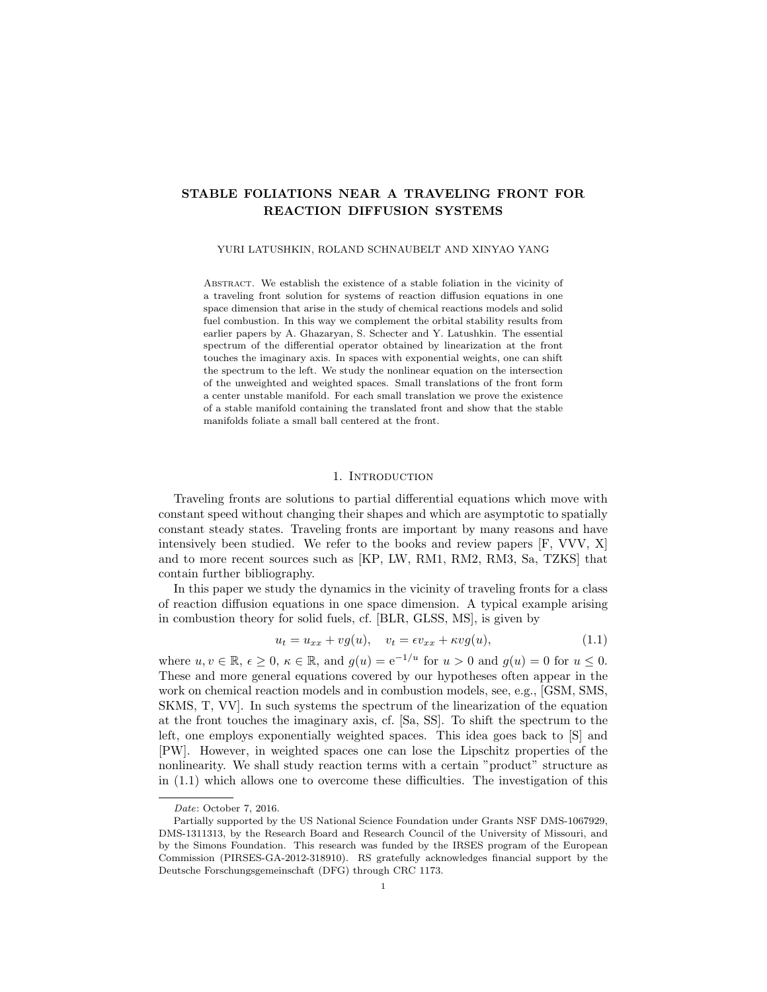# STABLE FOLIATIONS NEAR A TRAVELING FRONT FOR REACTION DIFFUSION SYSTEMS

## YURI LATUSHKIN, ROLAND SCHNAUBELT AND XINYAO YANG

Abstract. We establish the existence of a stable foliation in the vicinity of a traveling front solution for systems of reaction diffusion equations in one space dimension that arise in the study of chemical reactions models and solid fuel combustion. In this way we complement the orbital stability results from earlier papers by A. Ghazaryan, S. Schecter and Y. Latushkin. The essential spectrum of the differential operator obtained by linearization at the front touches the imaginary axis. In spaces with exponential weights, one can shift the spectrum to the left. We study the nonlinear equation on the intersection of the unweighted and weighted spaces. Small translations of the front form a center unstable manifold. For each small translation we prove the existence of a stable manifold containing the translated front and show that the stable manifolds foliate a small ball centered at the front.

# 1. INTRODUCTION

Traveling fronts are solutions to partial differential equations which move with constant speed without changing their shapes and which are asymptotic to spatially constant steady states. Traveling fronts are important by many reasons and have intensively been studied. We refer to the books and review papers [F, VVV, X] and to more recent sources such as [KP, LW, RM1, RM2, RM3, Sa, TZKS] that contain further bibliography.

In this paper we study the dynamics in the vicinity of traveling fronts for a class of reaction diffusion equations in one space dimension. A typical example arising in combustion theory for solid fuels, cf. [BLR, GLSS, MS], is given by

$$
u_t = u_{xx} + v g(u), \quad v_t = \epsilon v_{xx} + \kappa v g(u), \tag{1.1}
$$

where  $u, v \in \mathbb{R}, \epsilon \geq 0, \kappa \in \mathbb{R}$ , and  $g(u) = e^{-1/u}$  for  $u > 0$  and  $g(u) = 0$  for  $u \leq 0$ . These and more general equations covered by our hypotheses often appear in the work on chemical reaction models and in combustion models, see, e.g., [GSM, SMS, SKMS, T, VV]. In such systems the spectrum of the linearization of the equation at the front touches the imaginary axis, cf. [Sa, SS]. To shift the spectrum to the left, one employs exponentially weighted spaces. This idea goes back to [S] and [PW]. However, in weighted spaces one can lose the Lipschitz properties of the nonlinearity. We shall study reaction terms with a certain "product" structure as in (1.1) which allows one to overcome these difficulties. The investigation of this

Date: October 7, 2016.

Partially supported by the US National Science Foundation under Grants NSF DMS-1067929, DMS-1311313, by the Research Board and Research Council of the University of Missouri, and by the Simons Foundation. This research was funded by the IRSES program of the European Commission (PIRSES-GA-2012-318910). RS gratefully acknowledges financial support by the Deutsche Forschungsgemeinschaft (DFG) through CRC 1173.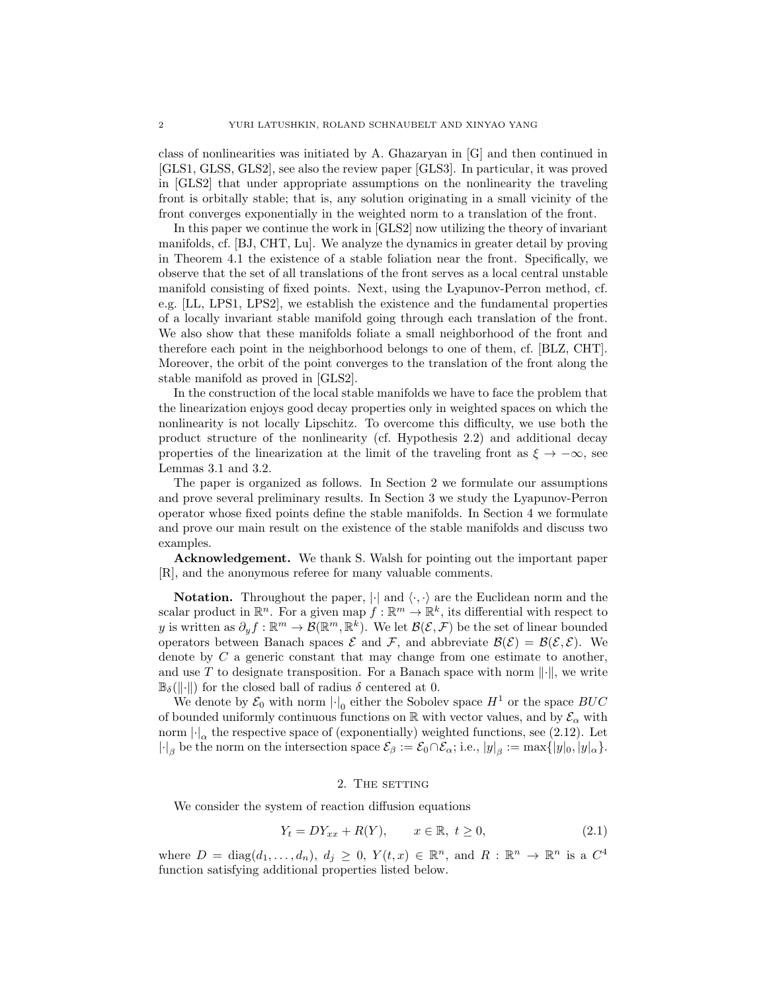class of nonlinearities was initiated by A. Ghazaryan in [G] and then continued in [GLS1, GLSS, GLS2], see also the review paper [GLS3]. In particular, it was proved in [GLS2] that under appropriate assumptions on the nonlinearity the traveling front is orbitally stable; that is, any solution originating in a small vicinity of the front converges exponentially in the weighted norm to a translation of the front.

In this paper we continue the work in [GLS2] now utilizing the theory of invariant manifolds, cf. [BJ, CHT, Lu]. We analyze the dynamics in greater detail by proving in Theorem 4.1 the existence of a stable foliation near the front. Specifically, we observe that the set of all translations of the front serves as a local central unstable manifold consisting of fixed points. Next, using the Lyapunov-Perron method, cf. e.g. [LL, LPS1, LPS2], we establish the existence and the fundamental properties of a locally invariant stable manifold going through each translation of the front. We also show that these manifolds foliate a small neighborhood of the front and therefore each point in the neighborhood belongs to one of them, cf. [BLZ, CHT]. Moreover, the orbit of the point converges to the translation of the front along the stable manifold as proved in [GLS2].

In the construction of the local stable manifolds we have to face the problem that the linearization enjoys good decay properties only in weighted spaces on which the nonlinearity is not locally Lipschitz. To overcome this difficulty, we use both the product structure of the nonlinearity (cf. Hypothesis 2.2) and additional decay properties of the linearization at the limit of the traveling front as  $\xi \to -\infty$ , see Lemmas 3.1 and 3.2.

The paper is organized as follows. In Section 2 we formulate our assumptions and prove several preliminary results. In Section 3 we study the Lyapunov-Perron operator whose fixed points define the stable manifolds. In Section 4 we formulate and prove our main result on the existence of the stable manifolds and discuss two examples.

Acknowledgement. We thank S. Walsh for pointing out the important paper [R], and the anonymous referee for many valuable comments.

**Notation.** Throughout the paper,  $|\cdot|$  and  $\langle \cdot, \cdot \rangle$  are the Euclidean norm and the scalar product in  $\mathbb{R}^n$ . For a given map  $f : \mathbb{R}^m \to \mathbb{R}^k$ , its differential with respect to y is written as  $\partial_y f : \mathbb{R}^m \to \mathcal{B}(\mathbb{R}^m, \mathbb{R}^k)$ . We let  $\mathcal{B}(\mathcal{E}, \mathcal{F})$  be the set of linear bounded operators between Banach spaces  $\mathcal E$  and  $\mathcal F$ , and abbreviate  $\mathcal B(\mathcal E)=\mathcal B(\mathcal E,\mathcal E)$ . We denote by  $C$  a generic constant that may change from one estimate to another, and use T to designate transposition. For a Banach space with norm  $\|\cdot\|$ , we write  $\mathbb{B}_{\delta}(\|\cdot\|)$  for the closed ball of radius  $\delta$  centered at 0.

We denote by  $\mathcal{E}_0$  with norm  $\lvert \cdot \rvert_0$  either the Sobolev space  $H^1$  or the space  $BUC$ of bounded uniformly continuous functions on  $\mathbb R$  with vector values, and by  $\mathcal{E}_{\alpha}$  with norm  $\lvert \cdot \rvert_{\alpha}$  the respective space of (exponentially) weighted functions, see (2.12). Let  $|\cdot|_{\beta}$  be the norm on the intersection space  $\mathcal{E}_{\beta} := \mathcal{E}_{0} \cap \mathcal{E}_{\alpha}$ ; i.e.,  $|y|_{\beta} := \max\{|y|_{0}, |y|_{\alpha}\}.$ 

# 2. THE SETTING

We consider the system of reaction diffusion equations

$$
Y_t = DY_{xx} + R(Y), \qquad x \in \mathbb{R}, \ t \ge 0,
$$
\n
$$
(2.1)
$$

where  $D = \text{diag}(d_1, \ldots, d_n)$ ,  $d_j \geq 0$ ,  $Y(t, x) \in \mathbb{R}^n$ , and  $R : \mathbb{R}^n \to \mathbb{R}^n$  is a  $C^4$ function satisfying additional properties listed below.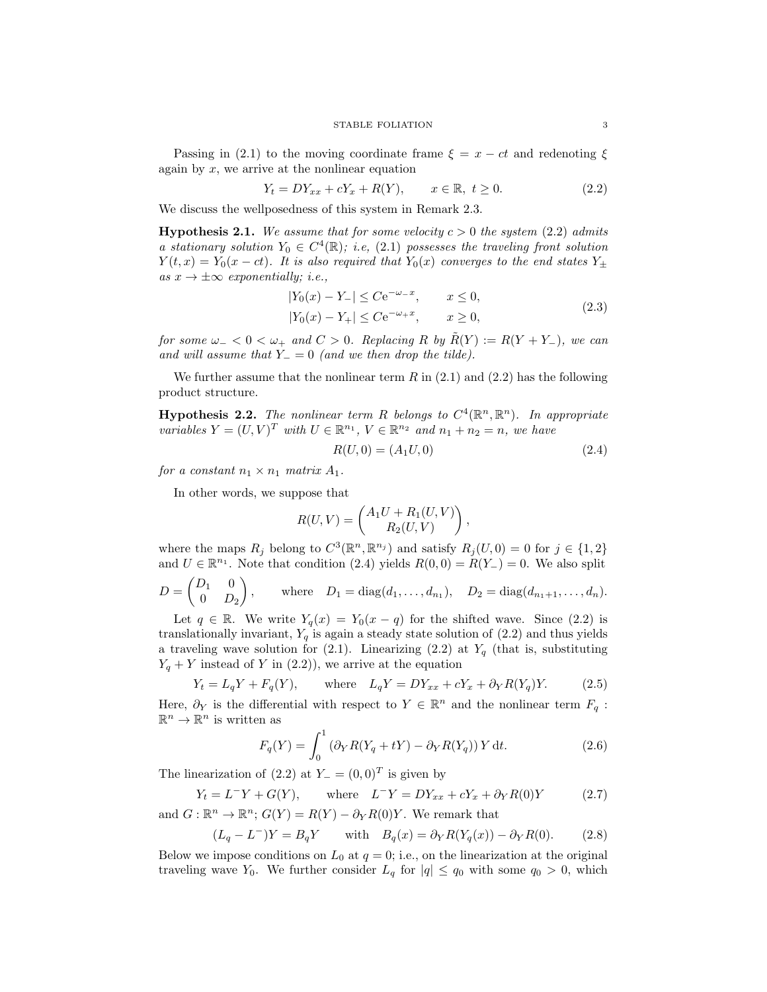Passing in (2.1) to the moving coordinate frame  $\xi = x - ct$  and redenoting  $\xi$ again by  $x$ , we arrive at the nonlinear equation

$$
Y_t = DY_{xx} + cY_x + R(Y), \t x \in \mathbb{R}, \ t \ge 0.
$$
 (2.2)

We discuss the wellposedness of this system in Remark 2.3.

**Hypothesis 2.1.** We assume that for some velocity  $c > 0$  the system (2.2) admits a stationary solution  $Y_0 \in C^4(\mathbb{R})$ ; i.e, (2.1) possesses the traveling front solution  $Y(t, x) = Y_0(x - ct)$ . It is also required that  $Y_0(x)$  converges to the end states  $Y_{\pm}$ as  $x \to \pm \infty$  exponentially; i.e.,

$$
|Y_0(x) - Y_-| \leq C e^{-\omega_- x}, \qquad x \leq 0,
$$
  
\n
$$
|Y_0(x) - Y_+| \leq C e^{-\omega_+ x}, \qquad x \geq 0,
$$
\n(2.3)

for some  $\omega_- < 0 < \omega_+$  and  $C > 0$ . Replacing R by  $\tilde{R}(Y) := R(Y + Y_-)$ , we can and will assume that  $Y_-=0$  (and we then drop the tilde).

We further assume that the nonlinear term  $R$  in  $(2.1)$  and  $(2.2)$  has the following product structure.

**Hypothesis 2.2.** The nonlinear term R belongs to  $C^4(\mathbb{R}^n, \mathbb{R}^n)$ . In appropriate variables  $Y = (U, V)^T$  with  $U \in \mathbb{R}^{n_1}$ ,  $V \in \mathbb{R}^{n_2}$  and  $n_1 + n_2 = n$ , we have

$$
R(U,0) = (A_1 U, 0)
$$
\n(2.4)

for a constant  $n_1 \times n_1$  matrix  $A_1$ .

In other words, we suppose that

$$
R(U, V) = \begin{pmatrix} A_1 U + R_1(U, V) \\ R_2(U, V) \end{pmatrix},
$$

where the maps  $R_j$  belong to  $C^3(\mathbb{R}^n, \mathbb{R}^{n_j})$  and satisfy  $R_j(U, 0) = 0$  for  $j \in \{1, 2\}$ and  $U \in \mathbb{R}^{n_1}$ . Note that condition (2.4) yields  $R(0,0) = R(Y_{-}) = 0$ . We also split

$$
D = \begin{pmatrix} D_1 & 0 \\ 0 & D_2 \end{pmatrix}, \text{ where } D_1 = \text{diag}(d_1, ..., d_{n_1}), D_2 = \text{diag}(d_{n_1+1}, ..., d_n).
$$

Let  $q \in \mathbb{R}$ . We write  $Y_q(x) = Y_0(x - q)$  for the shifted wave. Since (2.2) is translationally invariant,  $Y_q$  is again a steady state solution of (2.2) and thus yields a traveling wave solution for (2.1). Linearizing (2.2) at  $Y_q$  (that is, substituting  $Y_q + Y$  instead of Y in (2.2)), we arrive at the equation

$$
Y_t = L_q Y + F_q(Y), \qquad \text{where} \quad L_q Y = D Y_{xx} + c Y_x + \partial_Y R(Y_q) Y. \tag{2.5}
$$

Here,  $\partial_Y$  is the differential with respect to  $Y \in \mathbb{R}^n$  and the nonlinear term  $F_q$ :  $\mathbb{R}^n \to \mathbb{R}^n$  is written as

$$
F_q(Y) = \int_0^1 \left(\partial_Y R(Y_q + tY) - \partial_Y R(Y_q)\right) Y dt.
$$
 (2.6)

The linearization of  $(2.2)$  at  $Y = (0,0)^T$  is given by

$$
Y_t = L^-Y + G(Y), \qquad \text{where} \quad L^-Y = DY_{xx} + cY_x + \partial_Y R(0)Y \tag{2.7}
$$

and  $G: \mathbb{R}^n \to \mathbb{R}^n$ ;  $G(Y) = R(Y) - \partial_Y R(0)Y$ . We remark that

$$
(L_q - L^{-})Y = B_qY \quad \text{with} \quad B_q(x) = \partial_Y R(Y_q(x)) - \partial_Y R(0). \tag{2.8}
$$

Below we impose conditions on  $L_0$  at  $q = 0$ ; i.e., on the linearization at the original traveling wave  $Y_0$ . We further consider  $L_q$  for  $|q| \leq q_0$  with some  $q_0 > 0$ , which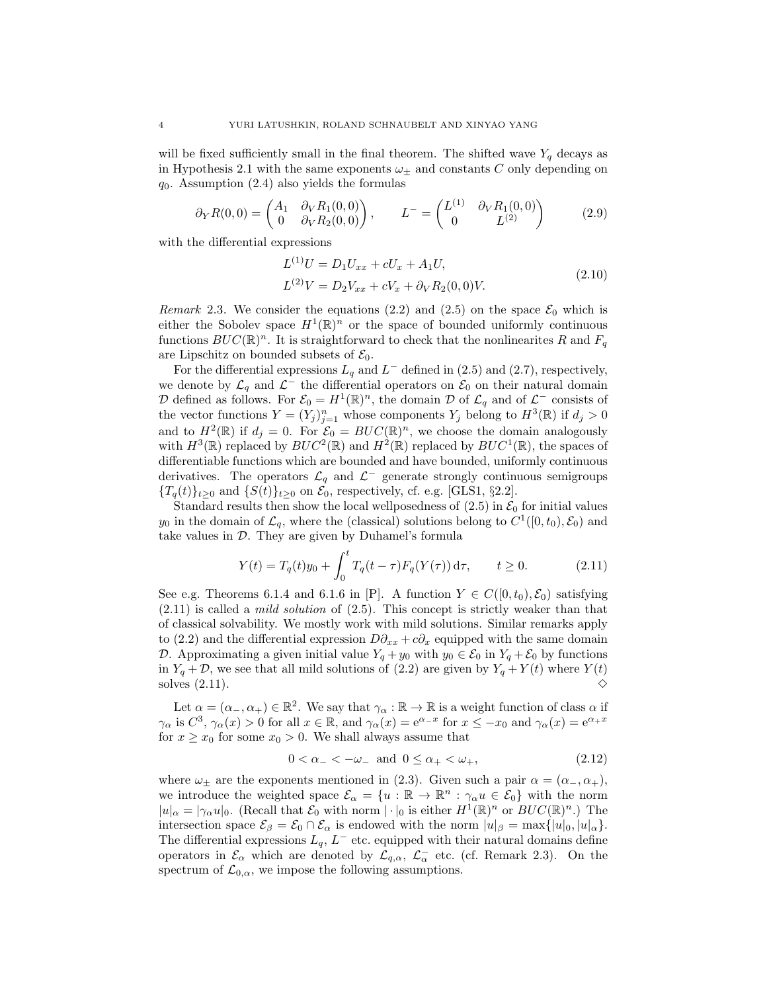will be fixed sufficiently small in the final theorem. The shifted wave  $Y_q$  decays as in Hypothesis 2.1 with the same exponents  $\omega_{\pm}$  and constants C only depending on  $q_0$ . Assumption (2.4) also yields the formulas

$$
\partial_Y R(0,0) = \begin{pmatrix} A_1 & \partial_V R_1(0,0) \\ 0 & \partial_V R_2(0,0) \end{pmatrix}, \qquad L^- = \begin{pmatrix} L^{(1)} & \partial_V R_1(0,0) \\ 0 & L^{(2)} \end{pmatrix} \tag{2.9}
$$

with the differential expressions

$$
L^{(1)}U = D_1 U_{xx} + cU_x + A_1 U,
$$
  
\n
$$
L^{(2)}V = D_2 V_{xx} + cV_x + \partial_V R_2(0,0)V.
$$
\n(2.10)

Remark 2.3. We consider the equations (2.2) and (2.5) on the space  $\mathcal{E}_0$  which is either the Sobolev space  $H^1(\mathbb{R})^n$  or the space of bounded uniformly continuous functions  $BUC(\mathbb{R})^n$ . It is straightforward to check that the nonlinearites R and  $F_q$ are Lipschitz on bounded subsets of  $\mathcal{E}_0$ .

For the differential expressions  $L_q$  and  $L^-$  defined in (2.5) and (2.7), respectively, we denote by  $\mathcal{L}_q$  and  $\mathcal{L}^-$  the differential operators on  $\mathcal{E}_0$  on their natural domain  $\mathcal D$  defined as follows. For  $\mathcal E_0 = H^1(\mathbb R)^n$ , the domain  $\mathcal D$  of  $\mathcal L_q$  and of  $\mathcal L^-$  consists of the vector functions  $Y = (Y_j)_{j=1}^n$  whose components  $Y_j$  belong to  $H^3(\mathbb{R})$  if  $d_j > 0$ and to  $H^2(\mathbb{R})$  if  $d_j = 0$ . For  $\mathcal{E}_0 = BUC(\mathbb{R})^n$ , we choose the domain analogously with  $H^3(\mathbb{R})$  replaced by  $BUC^2(\mathbb{R})$  and  $H^2(\mathbb{R})$  replaced by  $BUC^1(\mathbb{R})$ , the spaces of differentiable functions which are bounded and have bounded, uniformly continuous derivatives. The operators  $\mathcal{L}_q$  and  $\mathcal{L}^-$  generate strongly continuous semigroups  ${T_q(t)}_{t\geq0}$  and  ${S(t)}_{t\geq0}$  on  $\mathcal{E}_0$ , respectively, cf. e.g. [GLS1, §2.2].

Standard results then show the local wellposedness of  $(2.5)$  in  $\mathcal{E}_0$  for initial values  $y_0$  in the domain of  $\mathcal{L}_q$ , where the (classical) solutions belong to  $C^1([0, t_0), \mathcal{E}_0)$  and take values in  $D$ . They are given by Duhamel's formula

$$
Y(t) = T_q(t)y_0 + \int_0^t T_q(t - \tau) F_q(Y(\tau)) d\tau, \qquad t \ge 0.
$$
 (2.11)

See e.g. Theorems 6.1.4 and 6.1.6 in [P]. A function  $Y \in C([0, t_0), \mathcal{E}_0)$  satisfying  $(2.11)$  is called a *mild solution* of  $(2.5)$ . This concept is strictly weaker than that of classical solvability. We mostly work with mild solutions. Similar remarks apply to (2.2) and the differential expression  $D\partial_{xx} + c\partial_x$  equipped with the same domain D. Approximating a given initial value  $Y_q + y_0$  with  $y_0 \in \mathcal{E}_0$  in  $Y_q + \mathcal{E}_0$  by functions in  $Y_q + \mathcal{D}$ , we see that all mild solutions of (2.2) are given by  $Y_q + Y(t)$  where  $Y(t)$ solves  $(2.11)$ .

Let  $\alpha = (\alpha_-, \alpha_+) \in \mathbb{R}^2$ . We say that  $\gamma_\alpha : \mathbb{R} \to \mathbb{R}$  is a weight function of class  $\alpha$  if  $\gamma_{\alpha}$  is  $C^3$ ,  $\gamma_{\alpha}(x) > 0$  for all  $x \in \mathbb{R}$ , and  $\gamma_{\alpha}(x) = e^{\alpha - x}$  for  $x \le -x_0$  and  $\gamma_{\alpha}(x) = e^{\alpha + x}$ for  $x \geq x_0$  for some  $x_0 > 0$ . We shall always assume that

$$
0 < \alpha_- < -\omega_- \quad \text{and} \quad 0 \le \alpha_+ < \omega_+, \tag{2.12}
$$

where  $\omega_{\pm}$  are the exponents mentioned in (2.3). Given such a pair  $\alpha = (\alpha_-, \alpha_+),$ we introduce the weighted space  $\mathcal{E}_{\alpha} = \{u : \mathbb{R} \to \mathbb{R}^n : \gamma_{\alpha} u \in \mathcal{E}_0\}$  with the norm  $|u|_{\alpha} = |\gamma_{\alpha} u|_0$ . (Recall that  $\mathcal{E}_0$  with norm  $|\cdot|_0$  is either  $H^1(\mathbb{R})^n$  or  $BUC(\mathbb{R})^n$ .) The intersection space  $\mathcal{E}_{\beta} = \mathcal{E}_0 \cap \mathcal{E}_{\alpha}$  is endowed with the norm  $|u|_{\beta} = \max\{|u|_0, |u|_{\alpha}\}.$ The differential expressions  $L_q$ ,  $L^-$  etc. equipped with their natural domains define operators in  $\mathcal{E}_{\alpha}$  which are denoted by  $\mathcal{L}_{q,\alpha}$ ,  $\mathcal{L}_{\alpha}^-$  etc. (cf. Remark 2.3). On the spectrum of  $\mathcal{L}_{0,\alpha}$ , we impose the following assumptions.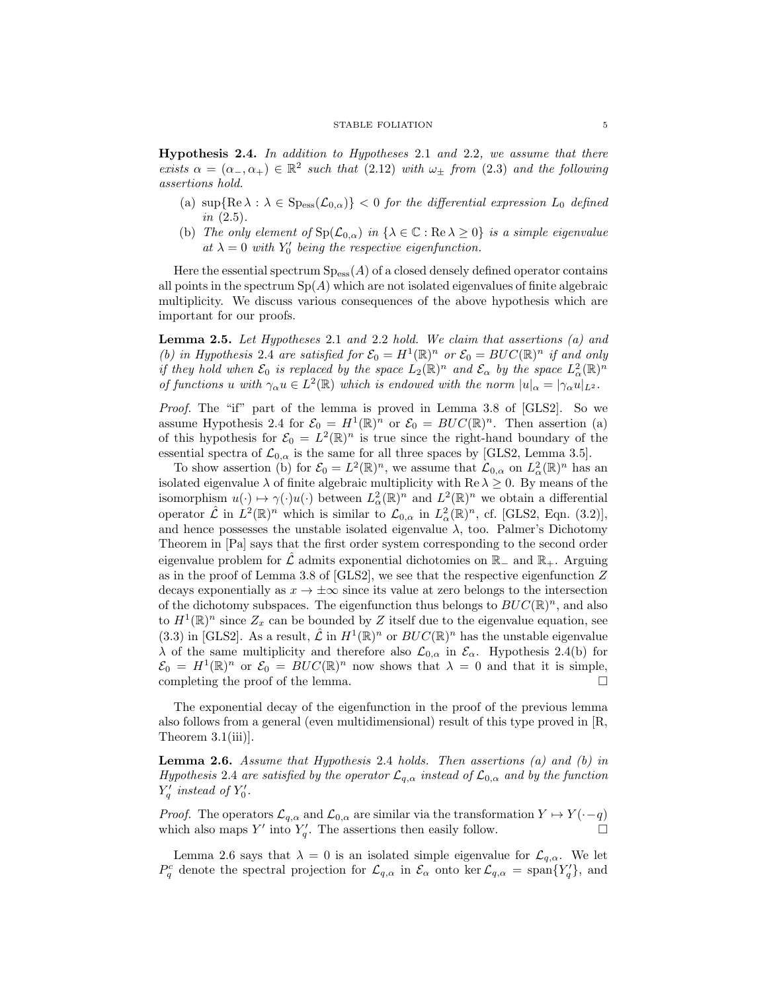**Hypothesis 2.4.** In addition to Hypotheses 2.1 and 2.2, we assume that there exists  $\alpha = (\alpha_-, \alpha_+) \in \mathbb{R}^2$  such that  $(2.12)$  with  $\omega_{\pm}$  from  $(2.3)$  and the following assertions hold.

- (a)  $\sup\{\text{Re }\lambda : \lambda \in \text{Sp}_{\text{ess}}(\mathcal{L}_{0,\alpha})\}<0$  for the differential expression  $L_0$  defined *in*  $(2.5)$ .
- (b) The only element of  $Sp(\mathcal{L}_{0,\alpha})$  in  $\{\lambda \in \mathbb{C} : \text{Re }\lambda \geq 0\}$  is a simple eigenvalue at  $\lambda = 0$  with  $Y_0'$  being the respective eigenfunction.

Here the essential spectrum  $Sp_{ess}(A)$  of a closed densely defined operator contains all points in the spectrum  $Sp(A)$  which are not isolated eigenvalues of finite algebraic multiplicity. We discuss various consequences of the above hypothesis which are important for our proofs.

**Lemma 2.5.** Let Hypotheses 2.1 and 2.2 hold. We claim that assertions  $(a)$  and (b) in Hypothesis 2.4 are satisfied for  $\mathcal{E}_0 = H^1(\mathbb{R})^n$  or  $\mathcal{E}_0 = BUC(\mathbb{R})^n$  if and only if they hold when  $\mathcal{E}_0$  is replaced by the space  $L_2(\mathbb{R})^n$  and  $\mathcal{E}_{\alpha}$  by the space  $L^2_{\alpha}(\mathbb{R})^n$ of functions u with  $\gamma_{\alpha}u \in L^2(\mathbb{R})$  which is endowed with the norm  $|u|_{\alpha} = |\gamma_{\alpha}u|_{L^2}$ .

Proof. The "if" part of the lemma is proved in Lemma 3.8 of [GLS2]. So we assume Hypothesis 2.4 for  $\mathcal{E}_0 = H^1(\mathbb{R})^n$  or  $\mathcal{E}_0 = BUC(\mathbb{R})^n$ . Then assertion (a) of this hypothesis for  $\mathcal{E}_0 = L^2(\mathbb{R})^n$  is true since the right-hand boundary of the essential spectra of  $\mathcal{L}_{0,\alpha}$  is the same for all three spaces by [GLS2, Lemma 3.5].

To show assertion (b) for  $\mathcal{E}_0 = L^2(\mathbb{R})^n$ , we assume that  $\mathcal{L}_{0,\alpha}$  on  $L^2_{\alpha}(\mathbb{R})^n$  has an isolated eigenvalue  $\lambda$  of finite algebraic multiplicity with Re  $\lambda \geq 0$ . By means of the isomorphism  $u(\cdot) \mapsto \gamma(\cdot)u(\cdot)$  between  $L^2_{\alpha}(\mathbb{R})^n$  and  $L^2(\mathbb{R})^n$  we obtain a differential operator  $\hat{\mathcal{L}}$  in  $L^2(\mathbb{R})^n$  which is similar to  $\mathcal{L}_{0,\alpha}$  in  $L^2_{\alpha}(\mathbb{R})^n$ , cf. [GLS2, Eqn. (3.2)], and hence possesses the unstable isolated eigenvalue  $\lambda$ , too. Palmer's Dichotomy Theorem in [Pa] says that the first order system corresponding to the second order eigenvalue problem for  $\mathcal L$  admits exponential dichotomies on  $\mathbb R_-\,$  and  $\mathbb R_+$ . Arguing as in the proof of Lemma 3.8 of  $[GLS2]$ , we see that the respective eigenfunction  $Z$ decays exponentially as  $x \to \pm \infty$  since its value at zero belongs to the intersection of the dichotomy subspaces. The eigenfunction thus belongs to  $BUC(\mathbb{R})^n$ , and also to  $H^1(\mathbb{R})^n$  since  $Z_x$  can be bounded by Z itself due to the eigenvalue equation, see (3.3) in [GLS2]. As a result,  $\hat{\mathcal{L}}$  in  $H^1(\mathbb{R})^n$  or  $BUC(\mathbb{R})^n$  has the unstable eigenvalue  $\lambda$  of the same multiplicity and therefore also  $\mathcal{L}_{0,\alpha}$  in  $\mathcal{E}_{\alpha}$ . Hypothesis 2.4(b) for  $\mathcal{E}_0 = H^1(\mathbb{R})^n$  or  $\mathcal{E}_0 = BUC(\mathbb{R})^n$  now shows that  $\lambda = 0$  and that it is simple, completing the proof of the lemma.  $\Box$ 

The exponential decay of the eigenfunction in the proof of the previous lemma also follows from a general (even multidimensional) result of this type proved in [R, Theorem  $3.1(iii)$ .

**Lemma 2.6.** Assume that Hypothesis 2.4 holds. Then assertions  $(a)$  and  $(b)$  in Hypothesis 2.4 are satisfied by the operator  $\mathcal{L}_{q,\alpha}$  instead of  $\mathcal{L}_{0,\alpha}$  and by the function  $Y'_q$  instead of  $Y'_0$ .

*Proof.* The operators  $\mathcal{L}_{q,\alpha}$  and  $\mathcal{L}_{0,\alpha}$  are similar via the transformation  $Y \mapsto Y(\cdot-q)$ which also maps Y' into  $Y'_q$ . The assertions then easily follow.

Lemma 2.6 says that  $\lambda = 0$  is an isolated simple eigenvalue for  $\mathcal{L}_{q,\alpha}$ . We let  $P_q^c$  denote the spectral projection for  $\mathcal{L}_{q,\alpha}$  in  $\mathcal{E}_{\alpha}$  onto ker  $\mathcal{L}_{q,\alpha} = \text{span}\{Y_q'\}$ , and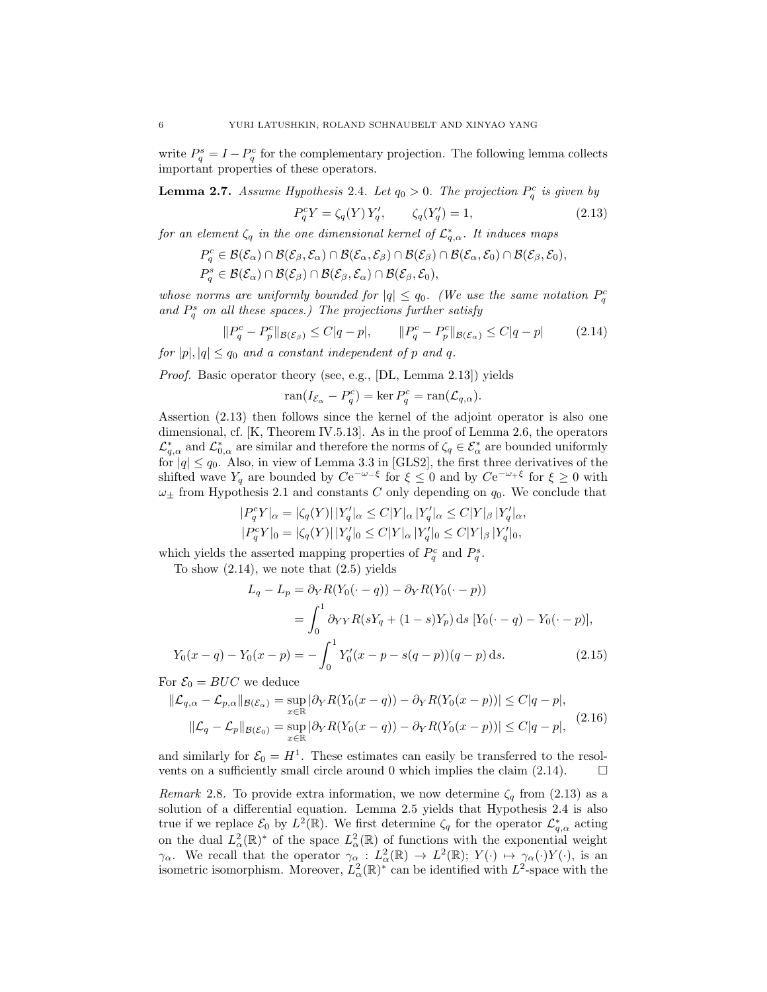write  $P_q^s = I - P_q^c$  for the complementary projection. The following lemma collects important properties of these operators.

**Lemma 2.7.** Assume Hypothesis 2.4. Let  $q_0 > 0$ . The projection  $P_q^c$  is given by

$$
P_q^c Y = \zeta_q(Y) Y_q', \qquad \zeta_q(Y_q') = 1,
$$
\n(2.13)

for an element  $\zeta_q$  in the one dimensional kernel of  $\mathcal{L}_{q,\alpha}^*$ . It induces maps

$$
P_q^c \in \mathcal{B}(\mathcal{E}_{\alpha}) \cap \mathcal{B}(\mathcal{E}_{\beta}, \mathcal{E}_{\alpha}) \cap \mathcal{B}(\mathcal{E}_{\alpha}, \mathcal{E}_{\beta}) \cap \mathcal{B}(\mathcal{E}_{\beta}) \cap \mathcal{B}(\mathcal{E}_{\alpha}, \mathcal{E}_0) \cap \mathcal{B}(\mathcal{E}_{\beta}, \mathcal{E}_0),
$$
  

$$
P_q^s \in \mathcal{B}(\mathcal{E}_{\alpha}) \cap \mathcal{B}(\mathcal{E}_{\beta}) \cap \mathcal{B}(\mathcal{E}_{\beta}, \mathcal{E}_{\alpha}) \cap \mathcal{B}(\mathcal{E}_{\beta}, \mathcal{E}_0),
$$

whose norms are uniformly bounded for  $|q| \leq q_0$ . (We use the same notation  $P_q^c$ and  $P_q^s$  on all these spaces.) The projections further satisfy

$$
||P_q^c - P_p^c||_{\mathcal{B}(\mathcal{E}_\beta)} \le C|q - p|, \qquad ||P_q^c - P_p^c||_{\mathcal{B}(\mathcal{E}_\alpha)} \le C|q - p| \tag{2.14}
$$

for  $|p|, |q| \leq q_0$  and a constant independent of p and q.

Proof. Basic operator theory (see, e.g., [DL, Lemma 2.13]) yields

$$
\operatorname{ran}(I_{\mathcal{E}_{\alpha}} - P_q^c) = \ker P_q^c = \operatorname{ran}(\mathcal{L}_{q,\alpha}).
$$

Assertion (2.13) then follows since the kernel of the adjoint operator is also one dimensional, cf. [K, Theorem IV.5.13]. As in the proof of Lemma 2.6, the operators  $\mathcal{L}^*_{q,\alpha}$  and  $\mathcal{L}^*_{0,\alpha}$  are similar and therefore the norms of  $\zeta_q \in \mathcal{E}^*_{\alpha}$  are bounded uniformly for  $|q| \le q_0$ . Also, in view of Lemma 3.3 in [GLS2], the first three derivatives of the shifted wave  $Y_q$  are bounded by  $Ce^{-\omega-\xi}$  for  $\xi \leq 0$  and by  $Ce^{-\omega+\xi}$  for  $\xi \geq 0$  with  $\omega_{\pm}$  from Hypothesis 2.1 and constants C only depending on  $q_0$ . We conclude that

$$
|P_q^c Y|_{\alpha} = |\zeta_q(Y)| |Y'_q|_{\alpha} \le C|Y|_{\alpha} |Y'_q|_{\alpha} \le C|Y|_{\beta} |Y'_q|_{\alpha},
$$
  

$$
|P_q^c Y|_{0} = |\zeta_q(Y)| |Y'_q|_{0} \le C|Y|_{\alpha} |Y'_q|_{0} \le C|Y|_{\beta} |Y'_q|_{0},
$$

which yields the asserted mapping properties of  $P_q^c$  and  $P_q^s$ .

To show  $(2.14)$ , we note that  $(2.5)$  yields

$$
L_q - L_p = \partial_Y R(Y_0(\cdot - q)) - \partial_Y R(Y_0(\cdot - p))
$$
  
=  $\int_0^1 \partial_{YY} R(sY_q + (1 - s)Y_p) ds [Y_0(\cdot - q) - Y_0(\cdot - p)],$   

$$
Y_0(x - q) - Y_0(x - p) = -\int_0^1 Y'_0(x - p - s(q - p))(q - p) ds.
$$
 (2.15)

For  $\mathcal{E}_0 = BUC$  we deduce

$$
\|\mathcal{L}_{q,\alpha} - \mathcal{L}_{p,\alpha}\|_{\mathcal{B}(\mathcal{E}_{\alpha})} = \sup_{x \in \mathbb{R}} |\partial_Y R(Y_0(x - q)) - \partial_Y R(Y_0(x - p))| \le C|q - p|,
$$
  

$$
\|\mathcal{L}_q - \mathcal{L}_p\|_{\mathcal{B}(\mathcal{E}_0)} = \sup_{x \in \mathbb{R}} |\partial_Y R(Y_0(x - q)) - \partial_Y R(Y_0(x - p))| \le C|q - p|,
$$
 (2.16)

and similarly for  $\mathcal{E}_0 = H^1$ . These estimates can easily be transferred to the resolvents on a sufficiently small circle around 0 which implies the claim  $(2.14)$ .  $\Box$ 

Remark 2.8. To provide extra information, we now determine  $\zeta_q$  from (2.13) as a solution of a differential equation. Lemma 2.5 yields that Hypothesis 2.4 is also true if we replace  $\mathcal{E}_0$  by  $L^2(\mathbb{R})$ . We first determine  $\zeta_q$  for the operator  $\mathcal{L}_{q,\alpha}^*$  acting on the dual  $L^2_{\alpha}(\mathbb{R})^*$  of the space  $L^2_{\alpha}(\mathbb{R})$  of functions with the exponential weight  $\gamma_{\alpha}$ . We recall that the operator  $\gamma_{\alpha}: L^2_{\alpha}(\mathbb{R}) \to L^2(\mathbb{R}); Y(\cdot) \mapsto \gamma_{\alpha}(\cdot)Y(\cdot)$ , is an isometric isomorphism. Moreover,  $L^2_{\alpha}(\mathbb{R})^*$  can be identified with  $L^2$ -space with the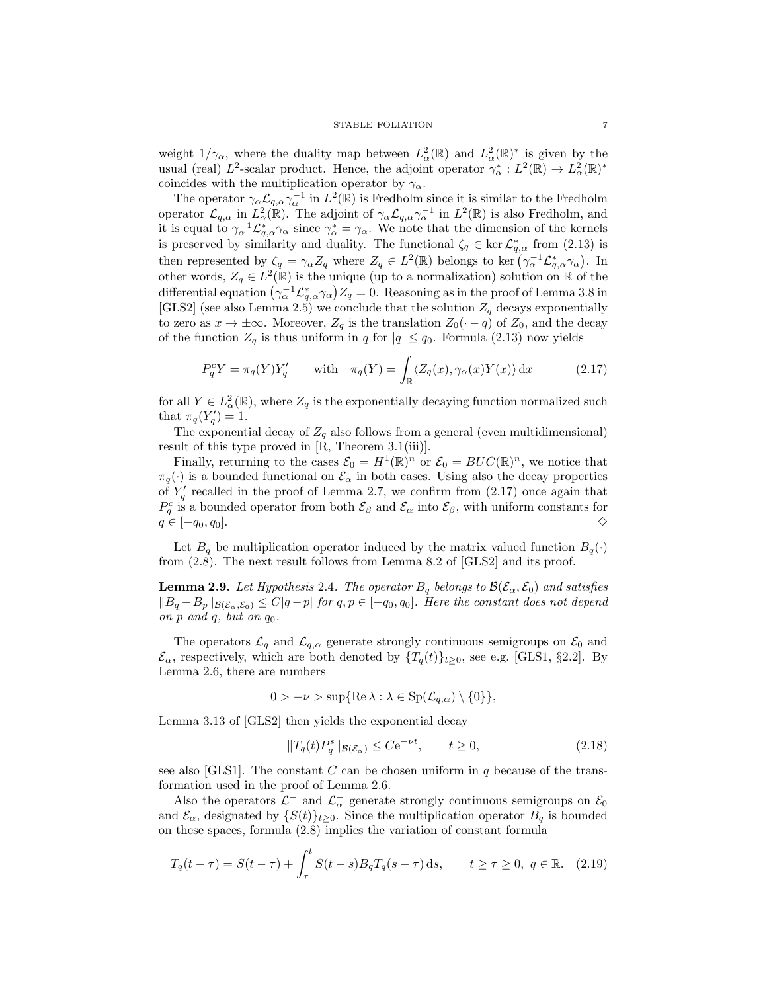weight  $1/\gamma_{\alpha}$ , where the duality map between  $L^2_{\alpha}(\mathbb{R})$  and  $L^2_{\alpha}(\mathbb{R})^*$  is given by the usual (real)  $L^2$ -scalar product. Hence, the adjoint operator  $\gamma^*_{\alpha}: L^2(\mathbb{R}) \to L^2_{\alpha}(\mathbb{R})^*$ coincides with the multiplication operator by  $\gamma_{\alpha}$ .

The operator  $\gamma_\alpha \mathcal{L}_{q,\alpha} \gamma_\alpha^{-1}$  in  $L^2(\mathbb{R})$  is Fredholm since it is similar to the Fredholm operator  $\mathcal{L}_{q,\alpha}$  in  $L^2_{\alpha}(\mathbb{R})$ . The adjoint of  $\gamma_{\alpha}\mathcal{L}_{q,\alpha}\gamma_{\alpha}^{-1}$  in  $L^2(\mathbb{R})$  is also Fredholm, and it is equal to  $\gamma_{\alpha}^{-1}\mathcal{L}_{q,\alpha}^{*}\gamma_{\alpha}$  since  $\gamma_{\alpha}^{*}=\gamma_{\alpha}$ . We note that the dimension of the kernels is preserved by similarity and duality. The functional  $\zeta_q \in \ker \mathcal{L}_{q,\alpha}^*$  from (2.13) is then represented by  $\zeta_q = \gamma_\alpha Z_q$  where  $Z_q \in L^2(\mathbb{R})$  belongs to ker  $(\gamma_\alpha^{-1} \mathcal{L}_{q,\alpha}^* \gamma_\alpha)$ . In other words,  $Z_q \in L^2(\mathbb{R})$  is the unique (up to a normalization) solution on  $\mathbb R$  of the differential equation  $(\gamma_\alpha^{-1} \mathcal{L}_{q,\alpha}^* \gamma_\alpha) Z_q = 0$ . Reasoning as in the proof of Lemma 3.8 in [GLS2] (see also Lemma 2.5) we conclude that the solution  $Z_q$  decays exponentially to zero as  $x \to \pm \infty$ . Moreover,  $Z_q$  is the translation  $Z_0(\cdot - q)$  of  $Z_0$ , and the decay of the function  $Z_q$  is thus uniform in q for  $|q| \leq q_0$ . Formula (2.13) now yields

$$
P_q^c Y = \pi_q(Y) Y_q' \quad \text{with} \quad \pi_q(Y) = \int_{\mathbb{R}} \langle Z_q(x), \gamma_\alpha(x) Y(x) \rangle \, \mathrm{d}x \tag{2.17}
$$

for all  $Y \in L^2_{\alpha}(\mathbb{R})$ , where  $Z_q$  is the exponentially decaying function normalized such that  $\pi_q(Y'_q) = 1$ .

The exponential decay of  $Z_q$  also follows from a general (even multidimensional) result of this type proved in [R, Theorem 3.1(iii)].

Finally, returning to the cases  $\mathcal{E}_0 = H^1(\mathbb{R})^n$  or  $\mathcal{E}_0 = BUC(\mathbb{R})^n$ , we notice that  $\pi_q(\cdot)$  is a bounded functional on  $\mathcal{E}_{\alpha}$  in both cases. Using also the decay properties of  $Y'_q$  recalled in the proof of Lemma 2.7, we confirm from (2.17) once again that  $P_q^c$  is a bounded operator from both  $\mathcal{E}_{\beta}$  and  $\mathcal{E}_{\alpha}$  into  $\mathcal{E}_{\beta}$ , with uniform constants for  $q \in [-q_0, q_0].$ 

Let  $B_q$  be multiplication operator induced by the matrix valued function  $B_q(\cdot)$ from (2.8). The next result follows from Lemma 8.2 of [GLS2] and its proof.

**Lemma 2.9.** Let Hypothesis 2.4. The operator  $B_q$  belongs to  $\mathcal{B}(\mathcal{E}_{\alpha}, \mathcal{E}_0)$  and satisfies  $||B_q - B_p||_{\mathcal{B}(\mathcal{E}_\alpha,\mathcal{E}_0)} \leq C|q-p|$  for  $q, p \in [-q_0, q_0]$ . Here the constant does not depend on  $p$  and  $q$ , but on  $q_0$ .

The operators  $\mathcal{L}_q$  and  $\mathcal{L}_{q,\alpha}$  generate strongly continuous semigroups on  $\mathcal{E}_0$  and  $\mathcal{E}_{\alpha}$ , respectively, which are both denoted by  $\{T_q(t)\}_{t\geq 0}$ , see e.g. [GLS1, §2.2]. By Lemma 2.6, there are numbers

$$
0 > -\nu > \sup\{\text{Re }\lambda : \lambda \in \text{Sp}(\mathcal{L}_{q,\alpha}) \setminus \{0\}\},\
$$

Lemma 3.13 of [GLS2] then yields the exponential decay

$$
||T_q(t)P_q^s||_{\mathcal{B}(\mathcal{E}_\alpha)} \leq C e^{-\nu t}, \qquad t \geq 0,
$$
\n(2.18)

see also [GLS1]. The constant  $C$  can be chosen uniform in  $q$  because of the transformation used in the proof of Lemma 2.6.

Also the operators  $\mathcal{L}^-$  and  $\mathcal{L}^-$  generate strongly continuous semigroups on  $\mathcal{E}_0$ and  $\mathcal{E}_{\alpha}$ , designated by  $\{S(t)\}_{t\geq 0}$ . Since the multiplication operator  $B_q$  is bounded on these spaces, formula (2.8) implies the variation of constant formula

$$
T_q(t-\tau) = S(t-\tau) + \int_{\tau}^{t} S(t-s)B_q T_q(s-\tau) \, ds, \qquad t \ge \tau \ge 0, \ q \in \mathbb{R}. \tag{2.19}
$$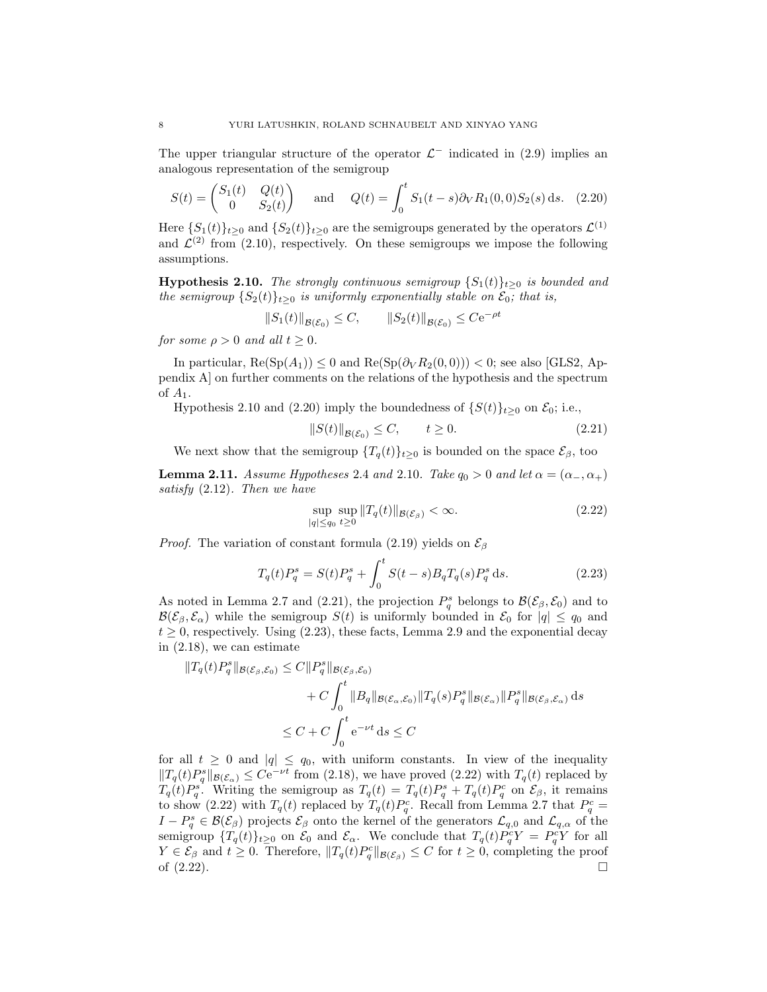The upper triangular structure of the operator  $\mathcal{L}^-$  indicated in (2.9) implies an analogous representation of the semigroup

$$
S(t) = \begin{pmatrix} S_1(t) & Q(t) \\ 0 & S_2(t) \end{pmatrix} \text{ and } Q(t) = \int_0^t S_1(t-s)\partial_V R_1(0,0)S_2(s) \,ds. \tag{2.20}
$$

Here  $\{S_1(t)\}_{t\geq 0}$  and  $\{S_2(t)\}_{t\geq 0}$  are the semigroups generated by the operators  $\mathcal{L}^{(1)}$ and  $\mathcal{L}^{(2)}$  from (2.10), respectively. On these semigroups we impose the following assumptions.

**Hypothesis 2.10.** The strongly continuous semigroup  $\{S_1(t)\}_{t\geq0}$  is bounded and the semigroup  $\{S_2(t)\}_{t>0}$  is uniformly exponentially stable on  $\mathcal{E}_0$ ; that is,

$$
||S_1(t)||_{\mathcal{B}(\mathcal{E}_0)} \leq C, \qquad ||S_2(t)||_{\mathcal{B}(\mathcal{E}_0)} \leq C e^{-\rho t}
$$

for some  $\rho > 0$  and all  $t > 0$ .

In particular,  $\text{Re}(\text{Sp}(A_1)) \leq 0$  and  $\text{Re}(\text{Sp}(\partial_V R_2(0,0))) < 0$ ; see also [GLS2, Appendix A] on further comments on the relations of the hypothesis and the spectrum of  $A_1$ .

Hypothesis 2.10 and (2.20) imply the boundedness of  $\{S(t)\}_{t>0}$  on  $\mathcal{E}_0$ ; i.e.,

$$
||S(t)||_{\mathcal{B}(\mathcal{E}_0)} \le C, \qquad t \ge 0. \tag{2.21}
$$

We next show that the semigroup  $\{T_q(t)\}_{t>0}$  is bounded on the space  $\mathcal{E}_{\beta}$ , too

**Lemma 2.11.** Assume Hypotheses 2.4 and 2.10. Take  $q_0 > 0$  and let  $\alpha = (\alpha_-, \alpha_+)$ satisfy (2.12). Then we have

$$
\sup_{|q| \le q_0} \sup_{t \ge 0} \|T_q(t)\|_{\mathcal{B}(\mathcal{E}_\beta)} < \infty. \tag{2.22}
$$

*Proof.* The variation of constant formula (2.19) yields on  $\mathcal{E}_{\beta}$ 

$$
T_q(t)P_q^s = S(t)P_q^s + \int_0^t S(t-s)B_qT_q(s)P_q^s ds.
$$
 (2.23)

As noted in Lemma 2.7 and (2.21), the projection  $P_q^s$  belongs to  $\mathcal{B}(\mathcal{E}_{\beta}, \mathcal{E}_0)$  and to  $\mathcal{B}(\mathcal{E}_{\beta}, \mathcal{E}_{\alpha})$  while the semigroup  $S(t)$  is uniformly bounded in  $\mathcal{E}_{0}$  for  $|q| \leq q_{0}$  and  $t \geq 0$ , respectively. Using (2.23), these facts, Lemma 2.9 and the exponential decay in (2.18), we can estimate

$$
\begin{aligned} ||T_q(t)P_q^s||_{\mathcal{B}(\mathcal{E}_{\beta},\mathcal{E}_0)} &\leq C||P_q^s||_{\mathcal{B}(\mathcal{E}_{\beta},\mathcal{E}_0)} \\ &+ C\int_0^t ||B_q||_{\mathcal{B}(\mathcal{E}_{\alpha},\mathcal{E}_0)} ||T_q(s)P_q^s||_{\mathcal{B}(\mathcal{E}_{\alpha})} ||P_q^s||_{\mathcal{B}(\mathcal{E}_{\beta},\mathcal{E}_{\alpha})} \, \mathrm{d}s \\ &\leq C + C\int_0^t \mathrm{e}^{-\nu t} \, \mathrm{d}s \leq C \end{aligned}
$$

for all  $t \geq 0$  and  $|q| \leq q_0$ , with uniform constants. In view of the inequality  $||T_q(t)P_q^s||_{\mathcal{B}(\mathcal{E}_\alpha)} \leq Ce^{-\nu t}$  from (2.18), we have proved (2.22) with  $T_q(t)$  replaced by  $T_q(t)P_q^s$ . Writing the semigroup as  $T_q(t) = T_q(t)P_q^s + T_q(t)P_q^c$  on  $\mathcal{E}_{\beta}$ , it remains to show (2.22) with  $T_q(t)$  replaced by  $T_q(t)P_q^c$ . Recall from Lemma 2.7 that  $P_q^c$  =  $I-P_q^s \in \mathcal{B}(\mathcal{E}_{\beta})$  projects  $\mathcal{E}_{\beta}$  onto the kernel of the generators  $\mathcal{L}_{q,0}$  and  $\mathcal{L}_{q,\alpha}$  of the semigroup  $\{T_q(t)\}_{t\geq 0}$  on  $\mathcal{E}_0$  and  $\mathcal{E}_{\alpha}$ . We conclude that  $T_q(t)P_q^cY = P_q^cY$  for all  $Y \in \mathcal{E}_{\beta}$  and  $t \geq 0$ . Therefore,  $||T_q(t)P_q^c||_{\mathcal{B}(\mathcal{E}_{\beta})} \leq C$  for  $t \geq 0$ , completing the proof of  $(2.22)$ .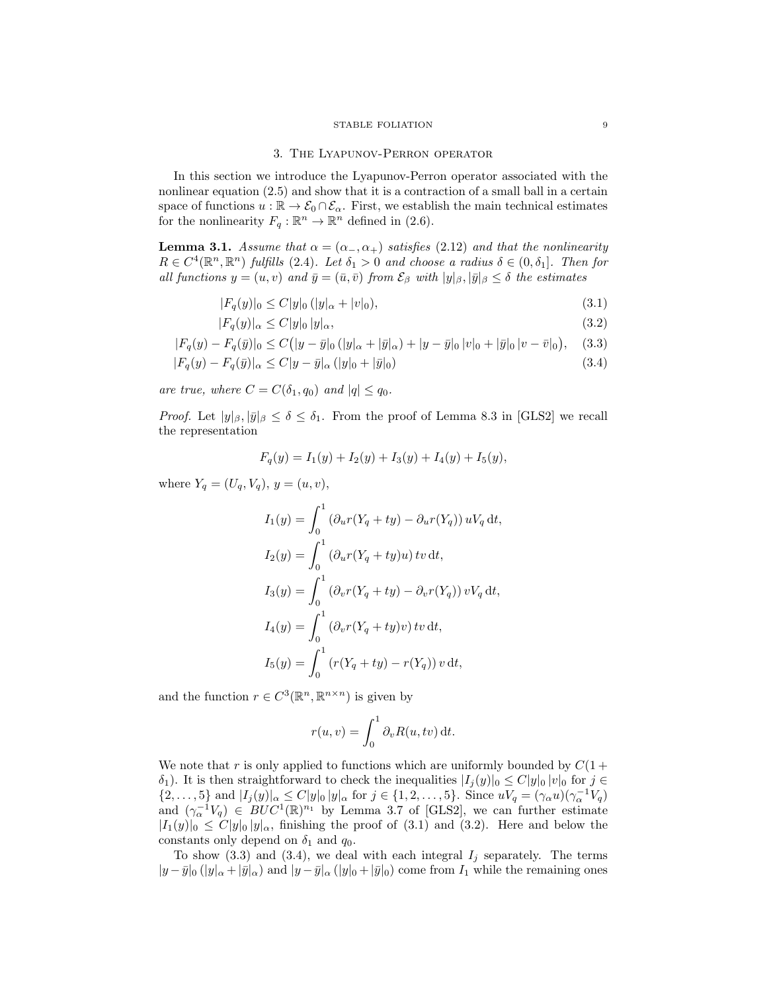### 3. The Lyapunov-Perron operator

In this section we introduce the Lyapunov-Perron operator associated with the nonlinear equation (2.5) and show that it is a contraction of a small ball in a certain space of functions  $u : \mathbb{R} \to \mathcal{E}_0 \cap \mathcal{E}_{\alpha}$ . First, we establish the main technical estimates for the nonlinearity  $F_q : \mathbb{R}^n \to \mathbb{R}^n$  defined in (2.6).

**Lemma 3.1.** Assume that  $\alpha = (\alpha_-, \alpha_+)$  satisfies (2.12) and that the nonlinearity  $R \in C^4(\mathbb{R}^n, \mathbb{R}^n)$  fulfills (2.4). Let  $\delta_1 > 0$  and choose a radius  $\delta \in (0, \delta_1]$ . Then for all functions  $y = (u, v)$  and  $\bar{y} = (\bar{u}, \bar{v})$  from  $\mathcal{E}_{\beta}$  with  $|y|_{\beta}, |\bar{y}|_{\beta} \leq \delta$  the estimates

$$
|F_q(y)|_0 \le C|y|_0 (|y|_\alpha + |v|_0), \tag{3.1}
$$

$$
|F_q(y)|_{\alpha} \le C|y|_0 |y|_{\alpha},\tag{3.2}
$$

$$
|F_q(y) - F_q(\bar{y})|_0 \le C\big(|y - \bar{y}|_0(|y|_\alpha + |\bar{y}|_\alpha) + |y - \bar{y}|_0|v|_0 + |\bar{y}|_0|v - \bar{v}|_0\big), \quad (3.3)
$$

$$
|F_q(y) - F_q(\bar{y})|_{\alpha} \le C|y - \bar{y}|_{\alpha} (|y|_0 + |\bar{y}|_0)
$$
\n(3.4)

are true, where  $C = C(\delta_1, q_0)$  and  $|q| \leq q_0$ .

*Proof.* Let  $|y|_\beta, |\bar{y}|_\beta \le \delta \le \delta_1$ . From the proof of Lemma 8.3 in [GLS2] we recall the representation

$$
F_q(y) = I_1(y) + I_2(y) + I_3(y) + I_4(y) + I_5(y),
$$

where  $Y_q = (U_q, V_q), y = (u, v),$ 

$$
I_1(y) = \int_0^1 (\partial_u r (Y_q + ty) - \partial_u r (Y_q)) uV_q dt,
$$
  
\n
$$
I_2(y) = \int_0^1 (\partial_u r (Y_q + ty)u) tv dt,
$$
  
\n
$$
I_3(y) = \int_0^1 (\partial_v r (Y_q + ty) - \partial_v r (Y_q)) vV_q dt,
$$
  
\n
$$
I_4(y) = \int_0^1 (\partial_v r (Y_q + ty)v) tv dt,
$$
  
\n
$$
I_5(y) = \int_0^1 (r (Y_q + ty) - r (Y_q)) v dt,
$$

and the function  $r \in C^3(\mathbb{R}^n, \mathbb{R}^{n \times n})$  is given by

$$
r(u, v) = \int_0^1 \partial_v R(u, tv) dt.
$$

We note that r is only applied to functions which are uniformly bounded by  $C(1 +$  $\delta_1$ ). It is then straightforward to check the inequalities  $|I_j(y)|_0 \leq C |y|_0 |y|_0$  for  $j \in \mathbb{Z}$  $\{2,\ldots,5\}$  and  $|I_j(y)|_{\alpha} \leq C|y|_0 |y|_{\alpha}$  for  $j \in \{1,2,\ldots,5\}$ . Since  $uV_q = (\gamma_\alpha u)(\gamma_\alpha^{-1}V_q)$ and  $(\gamma_\alpha^{-1}V_q) \in BUC^1(\mathbb{R})^{n_1}$  by Lemma 3.7 of [GLS2], we can further estimate  $|I_1(y)|_0 \leq C|y|_0 |y|_\alpha$ , finishing the proof of (3.1) and (3.2). Here and below the constants only depend on  $\delta_1$  and  $q_0$ .

To show (3.3) and (3.4), we deal with each integral  $I_j$  separately. The terms  $|y-\bar{y}|_0 (|y|_{\alpha}+|\bar{y}|_{\alpha})$  and  $|y-\bar{y}|_{\alpha} (|y|_0+|\bar{y}|_0)$  come from  $I_1$  while the remaining ones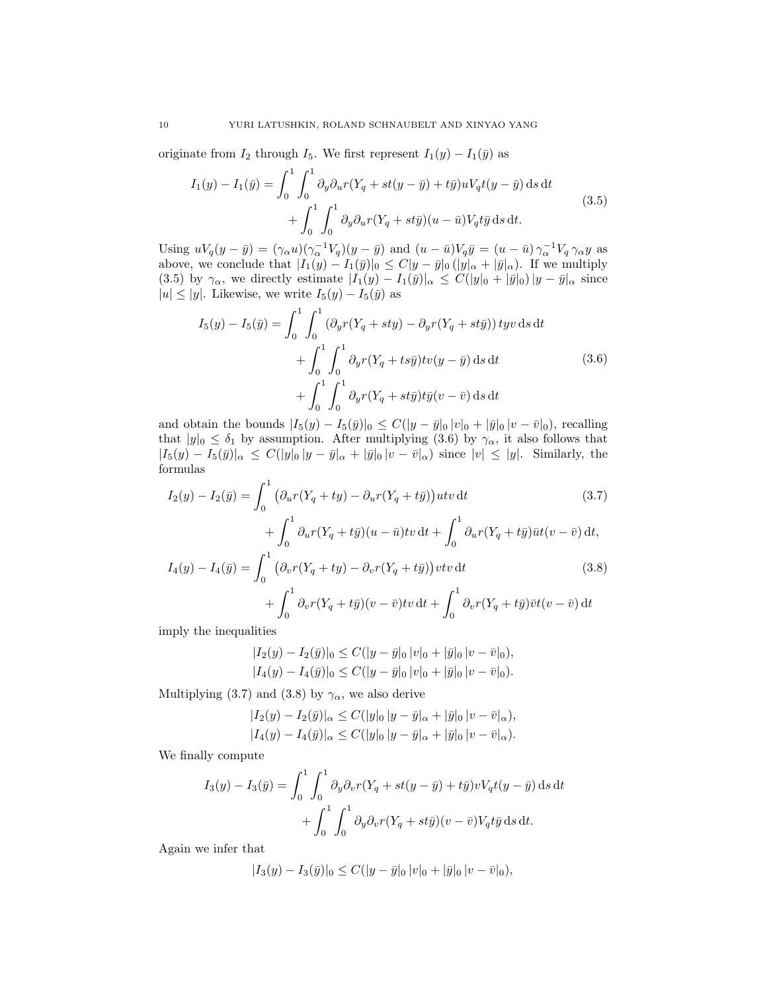originate from  $I_2$  through  $I_5$ . We first represent  $I_1(y) - I_1(\bar{y})$  as

$$
I_1(y) - I_1(\bar{y}) = \int_0^1 \int_0^1 \partial_y \partial_u r(Y_q + st(y - \bar{y}) + t\bar{y}) uV_q t(y - \bar{y}) ds dt
$$
  
+ 
$$
\int_0^1 \int_0^1 \partial_y \partial_u r(Y_q + st\bar{y}) (u - \bar{u}) V_q t\bar{y} ds dt.
$$
 (3.5)

Using  $uV_q(y - \bar{y}) = (\gamma_\alpha u)(\gamma_\alpha^{-1}V_q)(y - \bar{y})$  and  $(u - \bar{u})V_q\bar{y} = (u - \bar{u})\gamma_\alpha^{-1}V_q\gamma_\alpha y$  as above, we conclude that  $|I_1(y) - I_1(\bar{y})|_0 \leq C |y - \bar{y}|_0 (|y|_\alpha + |\bar{y}|_\alpha)$ . If we multiply (3.5) by  $\gamma_{\alpha}$ , we directly estimate  $|I_1(y) - I_1(\bar{y})|_{\alpha} \leq C(|y|_0 + |\bar{y}|_0)|y - \bar{y}|_{\alpha}$  since  $|u| \le |y|$ . Likewise, we write  $I_5(y) - I_5(\bar{y})$  as

$$
I_5(y) - I_5(\bar{y}) = \int_0^1 \int_0^1 (\partial_y r(Y_q + sty) - \partial_y r(Y_q + st\bar{y})) \, \mathrm{d}y \, \mathrm{d}\mathbf{t} + \int_0^1 \int_0^1 \partial_y r(Y_q + ts\bar{y}) \mathrm{d}v \, \mathrm{d}y \, \mathrm{d}t + \int_0^1 \int_0^1 \partial_y r(Y_q + st\bar{y}) \mathrm{d}\bar{y} \, \mathrm{d}y \, \mathrm{d}y \, \mathrm{d}y \, \mathrm{d}y \, \mathrm{d}y \, \mathrm{d}y \, \mathrm{d}y \, \mathrm{d}y \, \mathrm{d}y \, \mathrm{d}y \, \mathrm{d}y \, \mathrm{d}y \, \mathrm{d}y \, \mathrm{d}y \, \mathrm{d}y \, \mathrm{d}y \, \mathrm{d}y \, \mathrm{d}y \, \mathrm{d}y \, \mathrm{d}y \, \mathrm{d}y \, \mathrm{d}y \, \mathrm{d}y \, \mathrm{d}y \, \mathrm{d}y \, \mathrm{d}y \, \mathrm{d}y \, \mathrm{d}y \, \mathrm{d}y \, \mathrm{d}y \, \mathrm{d}y \, \mathrm{d}y \, \mathrm{d}y \, \mathrm{d}y \, \mathrm{d}y \, \mathrm{d}y \, \mathrm{d}y \, \mathrm{d}y \, \mathrm{d}y \, \mathrm{d}y \, \mathrm{d}y \, \mathrm{d}y \, \mathrm{d}y \, \mathrm{d}y \, \mathrm{d}y \, \mathrm{d}y \, \mathrm{d}y \, \mathrm{d}y \, \mathrm{d}y \, \mathrm{d}y \, \mathrm{d}y \, \mathrm{d}y \, \mathrm{d}y \, \mathrm{d}y \, \mathrm{d}y \, \mathrm{d}y \, \mathrm{d}y \, \mathrm{d}y \, \mathrm{d}y \, \mathrm{d}y \, \mathrm{d}y \, \mathrm{d}y \, \mathrm{d}y \, \mathrm{d}y \, \mathrm{d}y \, \mathrm{d}y \, \mathrm{d}y \, \mathrm{d}y \, \mathrm{d}y \, \mathrm{d}y \, \mathrm{d}y \, \mathrm{d}y \, \mathrm{d}y \, \mathrm{d}y \, \mathrm{d}y \, \mathrm{
$$

and obtain the bounds  $|I_5(y) - I_5(\bar{y})|_0 \leq C(|y - \bar{y}|_0 |v|_0 + |\bar{y}|_0 |v - \bar{v}|_0)$ , recalling that  $|y|_0 \leq \delta_1$  by assumption. After multiplying (3.6) by  $\gamma_\alpha$ , it also follows that  $|I_5(y) - I_5(\bar{y})|_{\alpha} \leq C(|y|_0 |y - \bar{y}|_{\alpha} + |\bar{y}|_0 |v - \bar{v}|_{\alpha})$  since  $|v| \leq |y|$ . Similarly, the formulas

$$
I_2(y) - I_2(\bar{y}) = \int_0^1 \left( \partial_u r (Y_q + ty) - \partial_u r (Y_q + t\bar{y}) \right) u t v \, dt \tag{3.7}
$$
\n
$$
+ \int_0^1 \partial_u r (Y_q + t\bar{y}) (u - \bar{u}) t v \, dt + \int_0^1 \partial_u r (Y_q + t\bar{y}) \bar{u} t (v - \bar{v}) \, dt,
$$
\n
$$
I_4(y) - I_4(\bar{y}) = \int_0^1 \left( \partial_v r (Y_q + ty) - \partial_v r (Y_q + t\bar{y}) \right) v t v \, dt \tag{3.8}
$$
\n
$$
+ \int_0^1 \partial_v r (Y_q + t\bar{y}) (v - \bar{v}) t v \, dt + \int_0^1 \partial_v r (Y_q + t\bar{y}) \bar{v} t (v - \bar{v}) \, dt
$$

imply the inequalities

$$
|I_2(y) - I_2(\bar{y})|_0 \le C(|y - \bar{y}|_0 |v|_0 + |\bar{y}|_0 |v - \bar{v}|_0),
$$
  

$$
|I_4(y) - I_4(\bar{y})|_0 \le C(|y - \bar{y}|_0 |v|_0 + |\bar{y}|_0 |v - \bar{v}|_0).
$$

Multiplying (3.7) and (3.8) by  $\gamma_\alpha,$  we also derive

$$
|I_2(y) - I_2(\bar{y})|_{\alpha} \le C(|y|_0 |y - \bar{y}|_{\alpha} + |\bar{y}|_0 |v - \bar{v}|_{\alpha}),
$$
  

$$
|I_4(y) - I_4(\bar{y})|_{\alpha} \le C(|y|_0 |y - \bar{y}|_{\alpha} + |\bar{y}|_0 |v - \bar{v}|_{\alpha}).
$$

We finally compute

$$
I_3(y) - I_3(\bar{y}) = \int_0^1 \int_0^1 \partial_y \partial_v r(Y_q + st(y - \bar{y}) + t\bar{y}) vV_q t(y - \bar{y}) \, ds \, dt
$$

$$
+ \int_0^1 \int_0^1 \partial_y \partial_v r(Y_q + st\bar{y})(v - \bar{v}) V_q t\bar{y} \, ds \, dt.
$$

Again we infer that

$$
|I_3(y) - I_3(\bar{y})|_0 \leq C(|y - \bar{y}|_0 |v|_0 + |\bar{y}|_0 |v - \bar{v}|_0),
$$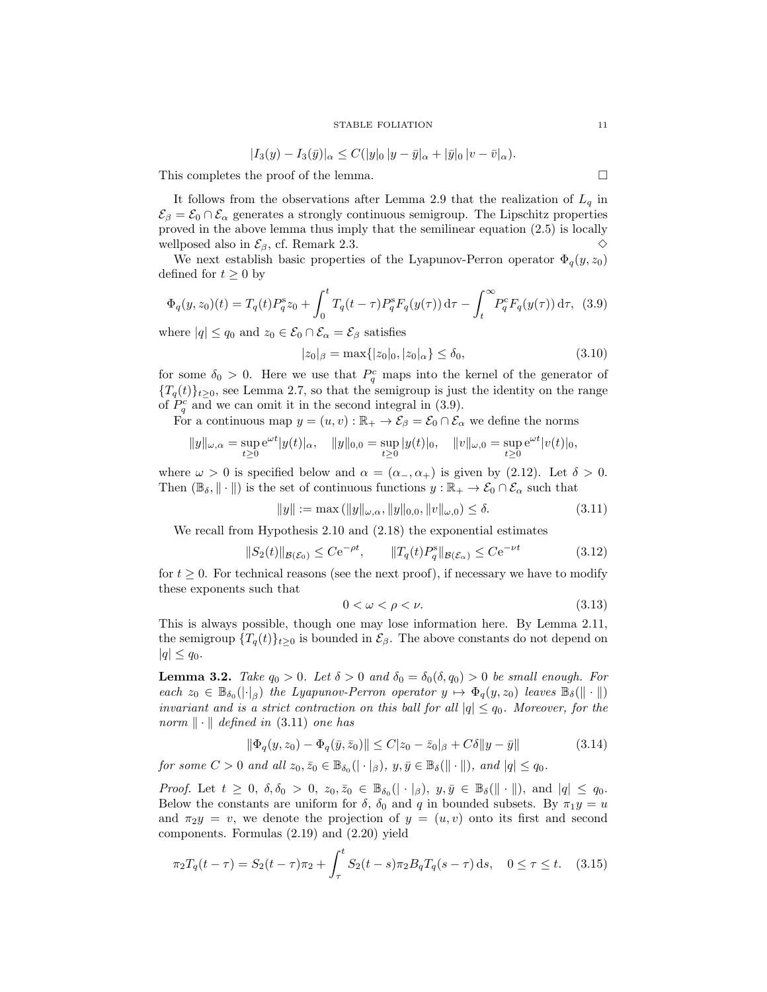$$
|I_3(y) - I_3(\bar{y})|_{\alpha} \le C(|y|_0 |y - \bar{y}|_{\alpha} + |\bar{y}|_0 |v - \bar{v}|_{\alpha}).
$$

This completes the proof of the lemma.

It follows from the observations after Lemma 2.9 that the realization of  $L_q$  in  $\mathcal{E}_{\beta} = \mathcal{E}_0 \cap \mathcal{E}_{\alpha}$  generates a strongly continuous semigroup. The Lipschitz properties proved in the above lemma thus imply that the semilinear equation (2.5) is locally wellposed also in  $\mathcal{E}_{\beta}$ , cf. Remark 2.3.  $\diamond$ 

We next establish basic properties of the Lyapunov-Perron operator  $\Phi_q(y, z_0)$ defined for  $t \geq 0$  by

$$
\Phi_q(y, z_0)(t) = T_q(t) P_q^s z_0 + \int_0^t T_q(t - \tau) P_q^s F_q(y(\tau)) d\tau - \int_t^\infty P_q^c F_q(y(\tau)) d\tau, \tag{3.9}
$$

where  $|q| \leq q_0$  and  $z_0 \in \mathcal{E}_0 \cap \mathcal{E}_\alpha = \mathcal{E}_\beta$  satisfies

$$
|z_0|_{\beta} = \max\{|z_0|_0, |z_0|_{\alpha}\} \le \delta_0,\tag{3.10}
$$

for some  $\delta_0 > 0$ . Here we use that  $P_q^c$  maps into the kernel of the generator of  ${T_q(t)}_{t\geq 0}$ , see Lemma 2.7, so that the semigroup is just the identity on the range of  $P_q^c$  and we can omit it in the second integral in (3.9).

For a continuous map  $y = (u, v) : \mathbb{R}_+ \to \mathcal{E}_{\beta} = \mathcal{E}_0 \cap \mathcal{E}_{\alpha}$  we define the norms

$$
||y||_{\omega,\alpha} = \sup_{t \ge 0} e^{\omega t} |y(t)|_{\alpha}, \quad ||y||_{0,0} = \sup_{t \ge 0} |y(t)|_0, \quad ||v||_{\omega,0} = \sup_{t \ge 0} e^{\omega t} |v(t)|_0,
$$

where  $\omega > 0$  is specified below and  $\alpha = (\alpha_-, \alpha_+)$  is given by (2.12). Let  $\delta > 0$ . Then  $(\mathbb{B}_{\delta}, \|\cdot\|)$  is the set of continuous functions  $y : \mathbb{R}_{+} \to \mathcal{E}_{0} \cap \mathcal{E}_{\alpha}$  such that

$$
||y|| := \max(||y||_{\omega,\alpha}, ||y||_{0,0}, ||v||_{\omega,0}) \le \delta.
$$
\n(3.11)

We recall from Hypothesis 2.10 and (2.18) the exponential estimates

$$
||S_2(t)||_{\mathcal{B}(\mathcal{E}_0)} \leq C e^{-\rho t}, \qquad ||T_q(t)P_q^s||_{\mathcal{B}(\mathcal{E}_\alpha)} \leq C e^{-\nu t}
$$
\n(3.12)

for  $t \geq 0$ . For technical reasons (see the next proof), if necessary we have to modify these exponents such that

$$
0 < \omega < \rho < \nu. \tag{3.13}
$$

This is always possible, though one may lose information here. By Lemma 2.11, the semigroup  $\{T_q(t)\}_{t\geq 0}$  is bounded in  $\mathcal{E}_{\beta}$ . The above constants do not depend on  $|q| \leq q_0$ .

**Lemma 3.2.** Take  $q_0 > 0$ . Let  $\delta > 0$  and  $\delta_0 = \delta_0(\delta, q_0) > 0$  be small enough. For each  $z_0 \in \mathbb{B}_{\delta_0}(|\cdot|_{\beta})$  the Lyapunov-Perron operator  $y \mapsto \Phi_q(y, z_0)$  leaves  $\mathbb{B}_{\delta}(\|\cdot\|)$ invariant and is a strict contraction on this ball for all  $|q| \leq q_0$ . Moreover, for the norm  $\|\cdot\|$  defined in (3.11) one has

$$
\|\Phi_q(y, z_0) - \Phi_q(\bar{y}, \bar{z}_0)\| \le C|z_0 - \bar{z}_0|_\beta + C\delta \|y - \bar{y}\|
$$
\n(3.14)

for some  $C > 0$  and all  $z_0, \bar{z}_0 \in \mathbb{B}_{\delta_0}(|\cdot|_{\beta}), y, \bar{y} \in \mathbb{B}_{\delta}(\|\cdot\|),$  and  $|q| \leq q_0$ .

Proof. Let  $t \geq 0$ ,  $\delta, \delta_0 > 0$ ,  $z_0, \overline{z}_0 \in \mathbb{B}_{\delta_0}(|\cdot|_{\beta})$ ,  $y, \overline{y} \in \mathbb{B}_{\delta}(|\cdot|_{\beta})$ , and  $|q| \leq q_0$ . Below the constants are uniform for  $\delta$ ,  $\delta_0$  and q in bounded subsets. By  $\pi_1 y = u$ and  $\pi_2 y = v$ , we denote the projection of  $y = (u, v)$  onto its first and second components. Formulas (2.19) and (2.20) yield

$$
\pi_2 T_q(t-\tau) = S_2(t-\tau)\pi_2 + \int_{\tau}^{t} S_2(t-s)\pi_2 B_q T_q(s-\tau) \,ds, \quad 0 \le \tau \le t. \tag{3.15}
$$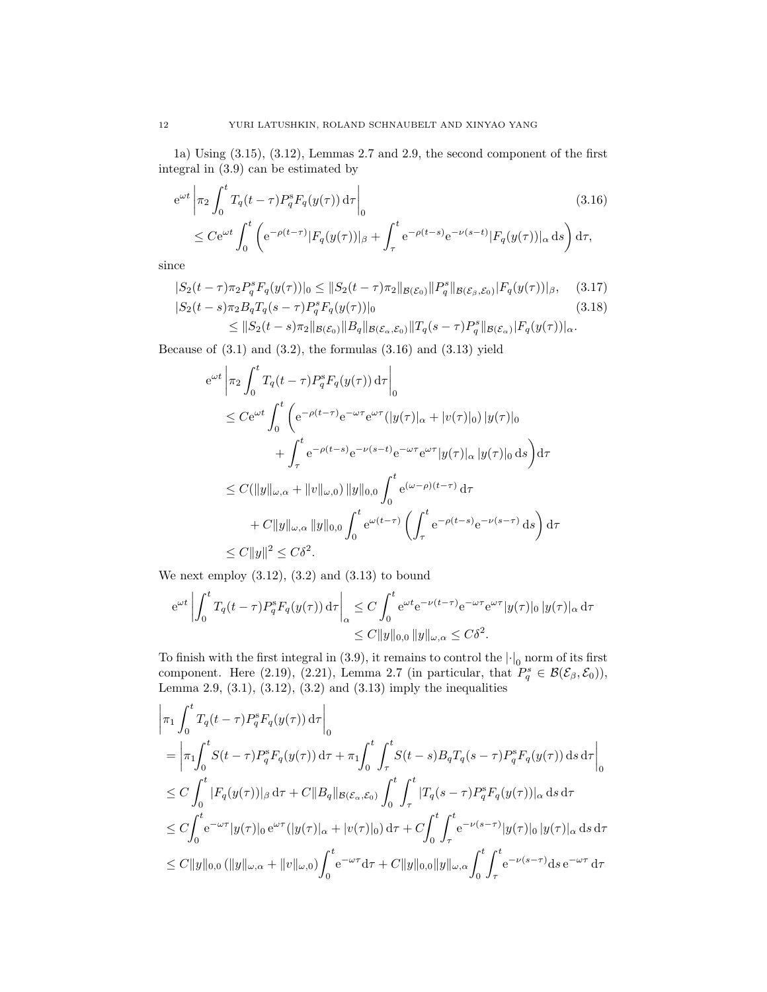1a) Using (3.15), (3.12), Lemmas 2.7 and 2.9, the second component of the first integral in (3.9) can be estimated by

$$
e^{\omega t} \left| \pi_2 \int_0^t T_q(t-\tau) P_q^s F_q(y(\tau)) d\tau \right|_0
$$
\n
$$
\leq C e^{\omega t} \int_0^t \left( e^{-\rho(t-\tau)} |F_q(y(\tau))|_\beta + \int_\tau^t e^{-\rho(t-s)} e^{-\nu(s-t)} |F_q(y(\tau))|_\alpha ds \right) d\tau,
$$
\n(3.16)

since

$$
|S_2(t-\tau)\pi_2 P_q^s F_q(y(\tau))|_0 \leq ||S_2(t-\tau)\pi_2||_{\mathcal{B}(\mathcal{E}_0)}||P_q^s||_{\mathcal{B}(\mathcal{E}_\beta,\mathcal{E}_0)}|F_q(y(\tau))|_{\beta}, \quad (3.17)
$$
  

$$
|S_2(t-s)\pi_2 B_q T_q(s-\tau) P_q^s F_q(y(\tau))|_0 \qquad (3.18)
$$

 $\leq \|S_2(t-s)\pi_2\|_{\mathcal{B}(\mathcal{E}_0)} \|B_q\|_{\mathcal{B}(\mathcal{E}_\alpha,\mathcal{E}_0)} \|T_q(s-\tau)P_q^s\|_{\mathcal{B}(\mathcal{E}_\alpha)} |F_q(y(\tau))|_{\alpha}.$ 

Because of  $(3.1)$  and  $(3.2)$ , the formulas  $(3.16)$  and  $(3.13)$  yield

$$
e^{\omega t} \left| \pi_2 \int_0^t T_q(t-\tau) P_q^s F_q(y(\tau)) d\tau \right|_0
$$
  
\n
$$
\leq C e^{\omega t} \int_0^t \left( e^{-\rho(t-\tau)} e^{-\omega \tau} e^{\omega \tau} (|y(\tau)|_{\alpha} + |v(\tau)|_0) |y(\tau)|_0 \right)
$$
  
\n
$$
+ \int_{\tau}^t e^{-\rho(t-s)} e^{-\nu(s-t)} e^{-\omega \tau} e^{\omega \tau} |y(\tau)|_{\alpha} |y(\tau)|_0 ds \right) d\tau
$$
  
\n
$$
\leq C(\|y\|_{\omega,\alpha} + \|v\|_{\omega,0}) \|y\|_{0,0} \int_0^t e^{(\omega-\rho)(t-\tau)} d\tau
$$
  
\n
$$
+ C\|y\|_{\omega,\alpha} \|y\|_{0,0} \int_0^t e^{\omega(t-\tau)} \left( \int_{\tau}^t e^{-\rho(t-s)} e^{-\nu(s-\tau)} ds \right) d\tau
$$
  
\n
$$
\leq C\|y\|^2 \leq C\delta^2.
$$

We next employ  $(3.12)$ ,  $(3.2)$  and  $(3.13)$  to bound

$$
e^{\omega t} \left| \int_0^t T_q(t-\tau) P_q^s F_q(y(\tau)) d\tau \right|_{\alpha} \le C \int_0^t e^{\omega t} e^{-\nu(t-\tau)} e^{-\omega \tau} e^{\omega \tau} |y(\tau)|_0 |y(\tau)|_{\alpha} d\tau
$$
  

$$
\le C \|y\|_{0,0} \|y\|_{\omega,\alpha} \le C\delta^2.
$$

To finish with the first integral in  $(3.9)$ , it remains to control the  $|\cdot|_0$  norm of its first component. Here (2.19), (2.21), Lemma 2.7 (in particular, that  $P_q^s \in \mathcal{B}(\mathcal{E}_{\beta}, \mathcal{E}_0)$ ), Lemma 2.9,  $(3.1)$ ,  $(3.12)$ ,  $(3.2)$  and  $(3.13)$  imply the inequalities

$$
\begin{aligned}\n&\left|\pi_{1} \int_{0}^{t} T_{q}(t-\tau) P_{q}^{s} F_{q}(y(\tau)) \, \mathrm{d}\tau\right|_{0} \\
&= \left|\pi_{1} \int_{0}^{t} S(t-\tau) P_{q}^{s} F_{q}(y(\tau)) \, \mathrm{d}\tau + \pi_{1} \int_{0}^{t} \int_{\tau}^{t} S(t-s) B_{q} T_{q}(s-\tau) P_{q}^{s} F_{q}(y(\tau)) \, \mathrm{d}s \, \mathrm{d}\tau\right|_{0} \\
&\leq C \int_{0}^{t} |F_{q}(y(\tau))|_{\beta} \, \mathrm{d}\tau + C \|B_{q}\|_{\mathcal{B}(\mathcal{E}_{\alpha},\mathcal{E}_{0})} \int_{0}^{t} \int_{\tau}^{t} |T_{q}(s-\tau) P_{q}^{s} F_{q}(y(\tau))|_{\alpha} \, \mathrm{d}s \, \mathrm{d}\tau \\
&\leq C \int_{0}^{t} e^{-\omega \tau} |y(\tau)|_{0} e^{\omega \tau} (|y(\tau)|_{\alpha} + |v(\tau)|_{0}) \, \mathrm{d}\tau + C \int_{0}^{t} \int_{\tau}^{t} e^{-\nu(s-\tau)} |y(\tau)|_{0} |y(\tau)|_{\alpha} \, \mathrm{d}s \, \mathrm{d}\tau \\
&\leq C \|y\|_{0,0} \left(\|y\|_{\omega,\alpha} + \|v\|_{\omega,0}\right) \int_{0}^{t} e^{-\omega \tau} \mathrm{d}\tau + C \|y\|_{0,0} \|y\|_{\omega,\alpha} \int_{0}^{t} \int_{\tau}^{t} e^{-\nu(s-\tau)} \mathrm{d}s \, e^{-\omega \tau} \, \mathrm{d}\tau\n\end{aligned}
$$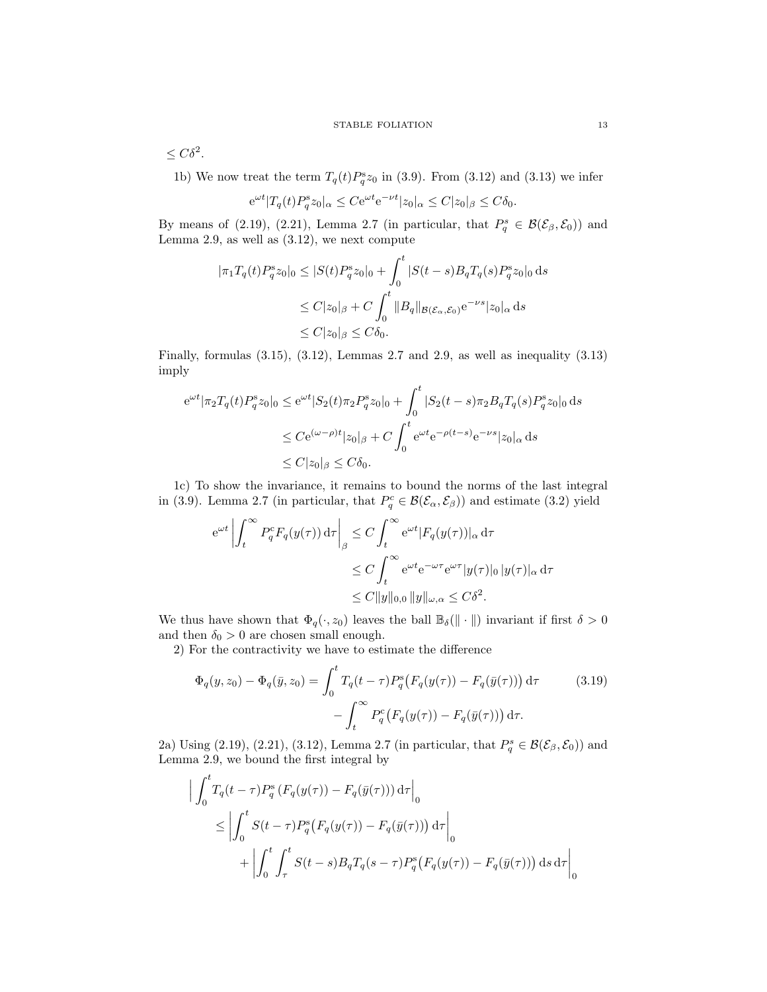$\leq C\delta^2$ .

1b) We now treat the term  $T_q(t)P_q^s z_0$  in (3.9). From (3.12) and (3.13) we infer

$$
e^{\omega t} |T_q(t)P_q^s z_0|_{\alpha} \le Ce^{\omega t} e^{-\nu t} |z_0|_{\alpha} \le C|z_0|_{\beta} \le C\delta_0.
$$

By means of (2.19), (2.21), Lemma 2.7 (in particular, that  $P_q^s \in \mathcal{B}(\mathcal{E}_{\beta}, \mathcal{E}_0)$ ) and Lemma 2.9, as well as  $(3.12)$ , we next compute

$$
\begin{aligned} |\pi_1 T_q(t) P_q^s z_0|_0 &\le |S(t) P_q^s z_0|_0 + \int_0^t |S(t-s) B_q T_q(s) P_q^s z_0|_0 \, \mathrm{d}s \\ &\le C |z_0|_\beta + C \int_0^t \|B_q\|_{\mathcal{B}(\mathcal{E}_\alpha, \mathcal{E}_0)} \mathrm{e}^{-\nu s} |z_0|_\alpha \, \mathrm{d}s \\ &\le C |z_0|_\beta \le C \delta_0. \end{aligned}
$$

Finally, formulas (3.15), (3.12), Lemmas 2.7 and 2.9, as well as inequality (3.13) imply

$$
e^{\omega t} |\pi_2 T_q(t) P_q^s z_0|_0 \le e^{\omega t} |S_2(t) \pi_2 P_q^s z_0|_0 + \int_0^t |S_2(t - s) \pi_2 B_q T_q(s) P_q^s z_0|_0 ds
$$
  

$$
\le C e^{(\omega - \rho)t} |z_0|_\beta + C \int_0^t e^{\omega t} e^{-\rho(t - s)} e^{-\nu s} |z_0|_\alpha ds
$$
  

$$
\le C |z_0|_\beta \le C \delta_0.
$$

1c) To show the invariance, it remains to bound the norms of the last integral in (3.9). Lemma 2.7 (in particular, that  $P_q^c \in \mathcal{B}(\mathcal{E}_{\alpha}, \mathcal{E}_{\beta})$ ) and estimate (3.2) yield

$$
e^{\omega t} \left| \int_t^{\infty} P_q^c F_q(y(\tau)) d\tau \right|_{\beta} \le C \int_t^{\infty} e^{\omega t} |F_q(y(\tau))|_{\alpha} d\tau
$$
  

$$
\le C \int_t^{\infty} e^{\omega t} e^{-\omega \tau} e^{\omega \tau} |y(\tau)|_0 |y(\tau)|_{\alpha} d\tau
$$
  

$$
\le C \|y\|_{0,0} \|y\|_{\omega,\alpha} \le C\delta^2.
$$

We thus have shown that  $\Phi_q(\cdot, z_0)$  leaves the ball  $\mathbb{B}_\delta(\|\cdot\|)$  invariant if first  $\delta > 0$ and then  $\delta_0 > 0$  are chosen small enough.

2) For the contractivity we have to estimate the difference

$$
\Phi_q(y, z_0) - \Phi_q(\bar{y}, z_0) = \int_0^t T_q(t - \tau) P_q^s \big( F_q(y(\tau)) - F_q(\bar{y}(\tau)) \big) d\tau
$$
\n
$$
- \int_t^\infty P_q^c \big( F_q(y(\tau)) - F_q(\bar{y}(\tau)) \big) d\tau.
$$
\n(3.19)

2a) Using (2.19), (2.21), (3.12), Lemma 2.7 (in particular, that  $P_q^s \in \mathcal{B}(\mathcal{E}_{\beta}, \mathcal{E}_0)$ ) and Lemma 2.9, we bound the first integral by

$$
\left| \int_0^t T_q(t-\tau) P_q^s \left( F_q(y(\tau)) - F_q(\bar{y}(\tau)) \right) d\tau \right|_0
$$
  
\n
$$
\leq \left| \int_0^t S(t-\tau) P_q^s \left( F_q(y(\tau)) - F_q(\bar{y}(\tau)) \right) d\tau \right|_0
$$
  
\n
$$
+ \left| \int_0^t \int_\tau^t S(t-s) B_q T_q(s-\tau) P_q^s \left( F_q(y(\tau)) - F_q(\bar{y}(\tau)) \right) ds d\tau \right|_0
$$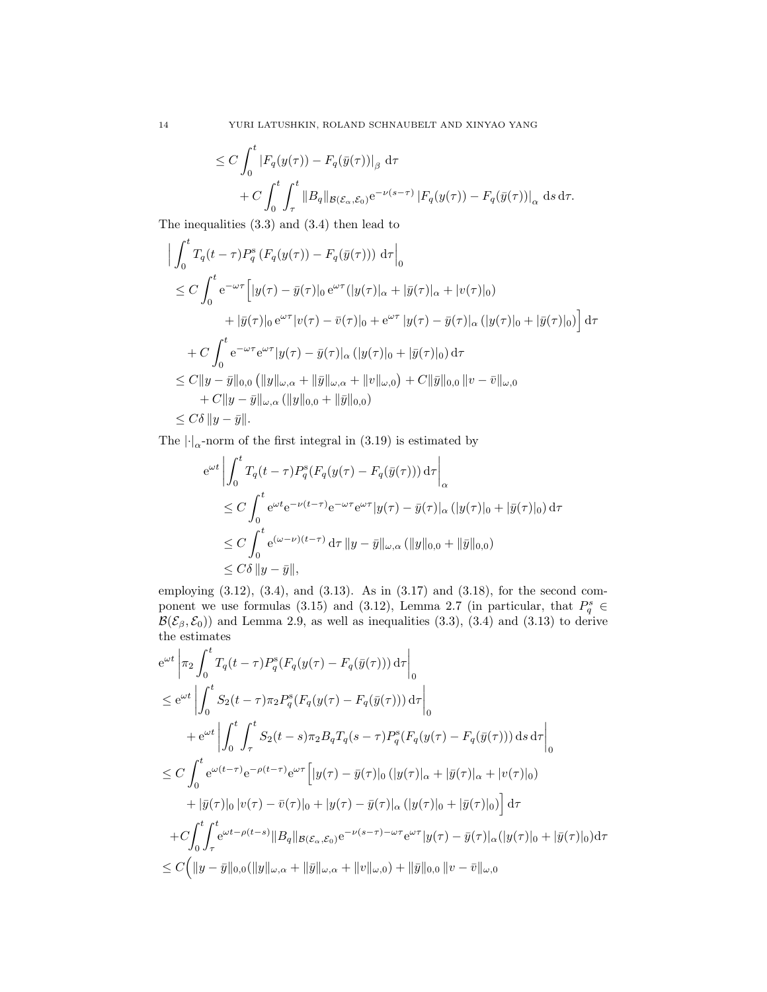$$
\leq C \int_0^t \left| F_q(y(\tau)) - F_q(\bar{y}(\tau)) \right|_{\beta} d\tau
$$
  
+ 
$$
C \int_0^t \int_{\tau}^t \|B_q\|_{\mathcal{B}(\mathcal{E}_{\alpha}, \mathcal{E}_0)} e^{-\nu(s-\tau)} |F_q(y(\tau)) - F_q(\bar{y}(\tau))|_{\alpha} ds d\tau.
$$

The inequalities (3.3) and (3.4) then lead to

$$
\left| \int_{0}^{t} T_{q}(t-\tau)P_{q}^{s}(F_{q}(y(\tau)) - F_{q}(\bar{y}(\tau))) d\tau \right|_{0} \n\leq C \int_{0}^{t} e^{-\omega\tau} \left[ |y(\tau) - \bar{y}(\tau)|_{0} e^{\omega\tau} (|y(\tau)|_{\alpha} + |\bar{y}(\tau)|_{\alpha} + |v(\tau)|_{0}) + |\bar{y}(\tau)|_{0} e^{\omega\tau} |v(\tau) - \bar{v}(\tau)|_{0} + e^{\omega\tau} |y(\tau) - \bar{y}(\tau)|_{\alpha} (|y(\tau)|_{0} + |\bar{y}(\tau)|_{0}) \right] d\tau \n+ C \int_{0}^{t} e^{-\omega\tau} e^{\omega\tau} |y(\tau) - \bar{y}(\tau)|_{\alpha} (|y(\tau)|_{0} + |\bar{y}(\tau)|_{0}) d\tau \n\leq C \|y - \bar{y}\|_{0,0} (||y||_{\omega,\alpha} + ||\bar{y}||_{\omega,\alpha} + ||v||_{\omega,0}) + C ||\bar{y}||_{0,0} ||v - \bar{v}||_{\omega,0} \n+ C ||y - \bar{y}||_{\omega,\alpha} (||y||_{0,0} + ||\bar{y}||_{0,0}) \n\leq C\delta ||y - \bar{y}||.
$$

The  $\left|\cdot\right|_{\alpha}$ -norm of the first integral in (3.19) is estimated by

$$
e^{\omega t} \left| \int_0^t T_q(t-\tau) P_q^s(F_q(y(\tau) - F_q(\bar{y}(\tau))) d\tau \right|_{\alpha}
$$
  
\n
$$
\leq C \int_0^t e^{\omega t} e^{-\nu(t-\tau)} e^{-\omega \tau} e^{\omega \tau} |y(\tau) - \bar{y}(\tau)|_{\alpha} (|y(\tau)|_0 + |\bar{y}(\tau)|_0) d\tau
$$
  
\n
$$
\leq C \int_0^t e^{(\omega-\nu)(t-\tau)} d\tau ||y - \bar{y}||_{\omega,\alpha} (||y||_{0,0} + ||\bar{y}||_{0,0})
$$
  
\n
$$
\leq C\delta ||y - \bar{y}||,
$$

employing  $(3.12)$ ,  $(3.4)$ , and  $(3.13)$ . As in  $(3.17)$  and  $(3.18)$ , for the second component we use formulas (3.15) and (3.12), Lemma 2.7 (in particular, that  $P_q^s \in$  $\mathcal{B}(\mathcal{E}_{\beta}, \mathcal{E}_0)$  and Lemma 2.9, as well as inequalities (3.3), (3.4) and (3.13) to derive the estimates

$$
e^{\omega t} \left| \pi_2 \int_0^t T_q(t-\tau) P_q^s(F_q(y(\tau) - F_q(\bar{y}(\tau))) d\tau \right|_0
$$
  
\n
$$
\leq e^{\omega t} \left| \int_0^t S_2(t-\tau) \pi_2 P_q^s(F_q(y(\tau) - F_q(\bar{y}(\tau))) d\tau \right|_0
$$
  
\n
$$
+ e^{\omega t} \left| \int_0^t \int_\tau^t S_2(t-s) \pi_2 B_q T_q(s-\tau) P_q^s(F_q(y(\tau) - F_q(\bar{y}(\tau))) ds d\tau \right|_0
$$
  
\n
$$
\leq C \int_0^t e^{\omega(t-\tau)} e^{-\rho(t-\tau)} e^{\omega \tau} \left[ |y(\tau) - \bar{y}(\tau)|_0 (|y(\tau)|_\alpha + |\bar{y}(\tau)|_\alpha + |v(\tau)|_0) + |\bar{y}(\tau)|_0 (|v(\tau) - \bar{v}(\tau)|_0 + |y(\tau) - \bar{y}(\tau)|_\alpha (|y(\tau)|_0 + |\bar{y}(\tau)|_0) \right] d\tau
$$
  
\n
$$
+ C \int_0^t \int_\tau^t e^{\omega t - \rho(t-s)} \|B_q\|_{\mathcal{B}(\mathcal{E}_\alpha, \mathcal{E}_0)} e^{-\nu(s-\tau) - \omega \tau} e^{\omega \tau} |y(\tau) - \bar{y}(\tau)|_\alpha (|y(\tau)|_0 + |\bar{y}(\tau)|_0) d\tau
$$
  
\n
$$
\leq C \left( \|y - \bar{y}\|_{0,0} (\|y\|_{\omega,\alpha} + \|\bar{y}\|_{\omega,\alpha} + \|v\|_{\omega,0}) + \|\bar{y}\|_{0,0} \|v - \bar{v}\|_{\omega,0} \right)
$$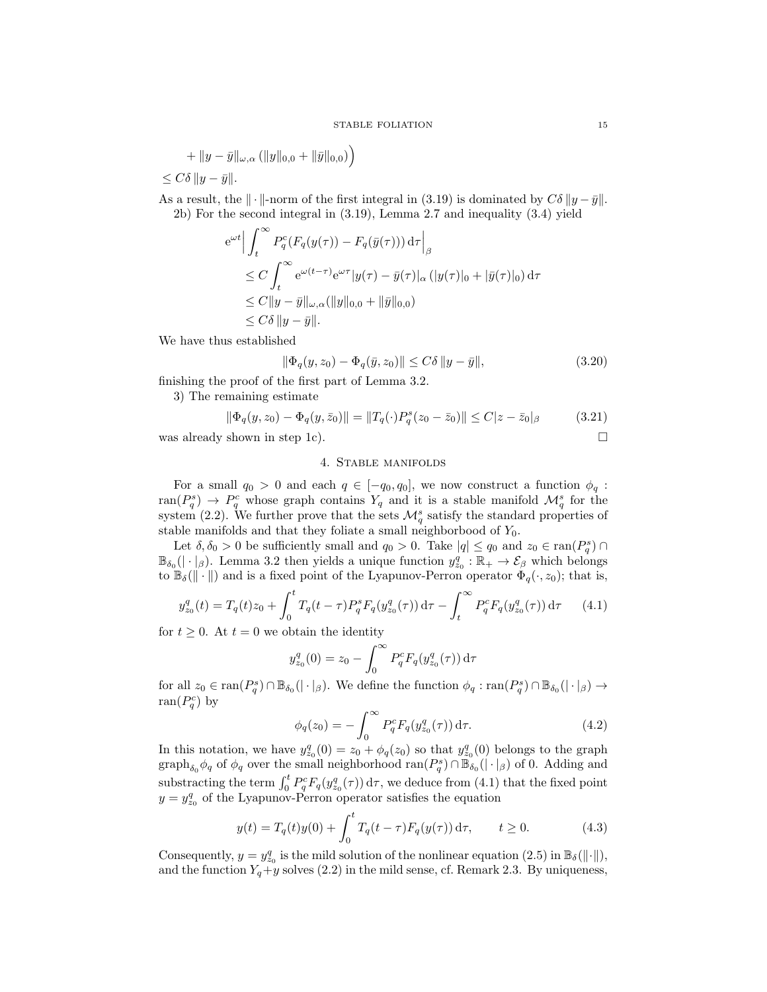$$
+ \|y-\bar{y}\|_{\omega,\alpha} (||y||_{0,0} + ||\bar{y}||_{0,0}) \Big)
$$

 $\leq C\delta \|y-\bar{y}\|.$ 

As a result, the  $\|\cdot\|$ -norm of the first integral in (3.19) is dominated by  $C\delta \|y-\bar{y}\|$ . 2b) For the second integral in (3.19), Lemma 2.7 and inequality (3.4) yield

$$
e^{\omega t} \Big| \int_t^{\infty} P_q^c(F_q(y(\tau)) - F_q(\bar{y}(\tau))) d\tau \Big|_{\beta}
$$
  
\n
$$
\leq C \int_t^{\infty} e^{\omega(t-\tau)} e^{\omega \tau} |y(\tau) - \bar{y}(\tau)|_{\alpha} (|y(\tau)|_0 + |\bar{y}(\tau)|_0) d\tau
$$
  
\n
$$
\leq C \|y - \bar{y}\|_{\omega,\alpha} (\|y\|_{0,0} + \|\bar{y}\|_{0,0})
$$
  
\n
$$
\leq C\delta \|y - \bar{y}\|.
$$

We have thus established

$$
\|\Phi_q(y, z_0) - \Phi_q(\bar{y}, z_0)\| \le C\delta \|y - \bar{y}\|,\tag{3.20}
$$

finishing the proof of the first part of Lemma 3.2.

3) The remaining estimate

$$
\|\Phi_q(y, z_0) - \Phi_q(y, \bar{z}_0)\| = \|T_q(\cdot)P_q^s(z_0 - \bar{z}_0)\| \le C|z - \bar{z}_0|_\beta \tag{3.21}
$$

was already shown in step 1c).  $\Box$ 

# 4. Stable manifolds

For a small  $q_0 > 0$  and each  $q \in [-q_0, q_0]$ , we now construct a function  $\phi_q$ : ran $(P_q^s) \to P_q^c$  whose graph contains  $Y_q$  and it is a stable manifold  $\mathcal{M}_q^s$  for the system (2.2). We further prove that the sets  $\mathcal{M}_q^s$  satisfy the standard properties of stable manifolds and that they foliate a small neighborbood of  $Y_0$ .

Let  $\delta, \delta_0 > 0$  be sufficiently small and  $q_0 > 0$ . Take  $|q| \leq q_0$  and  $z_0 \in \text{ran}(P_q^s) \cap$  $\mathbb{B}_{\delta_0}(|\cdot|_{\beta})$ . Lemma 3.2 then yields a unique function  $y_{z_0}^q : \mathbb{R}_+ \to \mathcal{E}_{\beta}$  which belongs to  $\mathbb{B}_{\delta}(\|\cdot\|)$  and is a fixed point of the Lyapunov-Perron operator  $\Phi_q(\cdot, z_0)$ ; that is,

$$
y_{z_0}^q(t) = T_q(t)z_0 + \int_0^t T_q(t-\tau)P_q^s F_q(y_{z_0}^q(\tau)) d\tau - \int_t^\infty P_q^c F_q(y_{z_0}^q(\tau)) d\tau \tag{4.1}
$$

for  $t \geq 0$ . At  $t = 0$  we obtain the identity

$$
y_{z_0}^q(0) = z_0 - \int_0^\infty P_q^c F_q(y_{z_0}^q(\tau)) d\tau
$$

for all  $z_0 \in \text{ran}(P_q^s) \cap \mathbb{B}_{\delta_0}(|\cdot|_\beta)$ . We define the function  $\phi_q : \text{ran}(P_q^s) \cap \mathbb{B}_{\delta_0}(|\cdot|_\beta) \to$  $ran(P_q^c)$  by

$$
\phi_q(z_0) = -\int_0^\infty P_q^c F_q(y_{z_0}^q(\tau)) d\tau.
$$
\n(4.2)

In this notation, we have  $y_{z_0}^q(0) = z_0 + \phi_q(z_0)$  so that  $y_{z_0}^q(0)$  belongs to the graph graph<sub> $\delta_0$ </sub> $\phi_q$  of  $\phi_q$  over the small neighborhood ran $(P_q^s) \cap \mathbb{B}_{\delta_0}(|\cdot|_\beta)$  of 0. Adding and substracting the term  $\int_0^t P_q^c F_q(y_{z_0}^q(\tau)) d\tau$ , we deduce from (4.1) that the fixed point  $y = y_{z_0}^q$  of the Lyapunov-Perron operator satisfies the equation

$$
y(t) = T_q(t)y(0) + \int_0^t T_q(t-\tau) F_q(y(\tau)) d\tau, \qquad t \ge 0.
$$
 (4.3)

Consequently,  $y = y_{z_0}^q$  is the mild solution of the nonlinear equation (2.5) in  $\mathbb{B}_{\delta}(\|\cdot\|)$ , and the function  $Y_q + y$  solves (2.2) in the mild sense, cf. Remark 2.3. By uniqueness,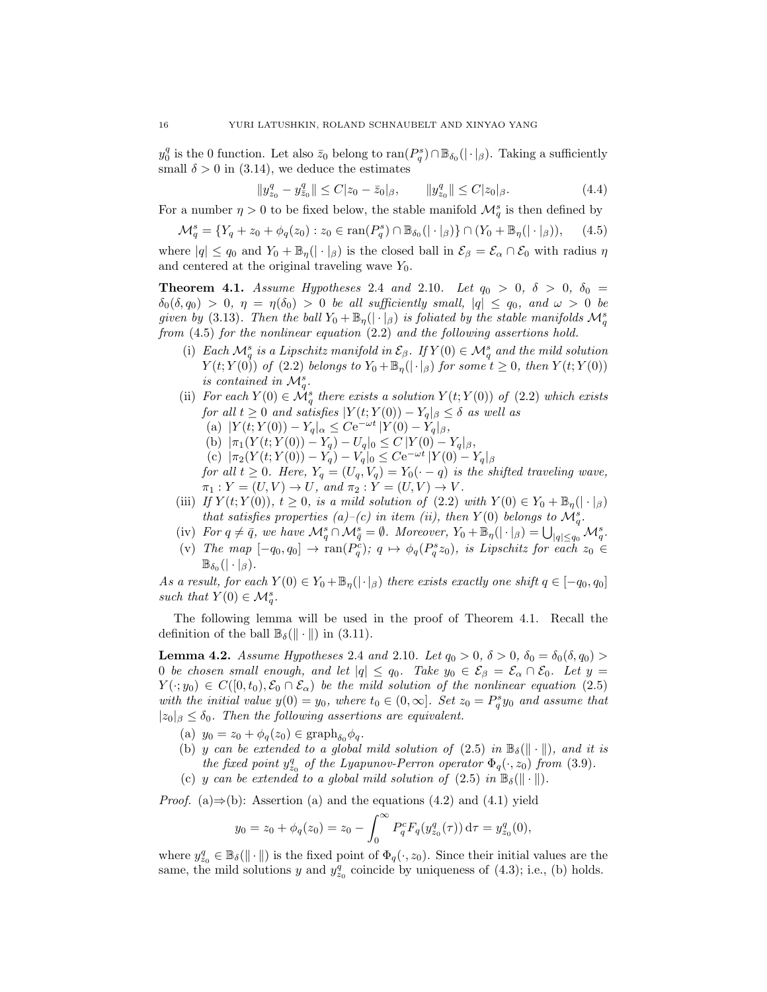$y_0^q$  is the 0 function. Let also  $\bar{z}_0$  belong to  $\text{ran}(P_q^s) \cap \mathbb{B}_{\delta_0}(|\cdot|_\beta)$ . Taking a sufficiently small  $\delta > 0$  in (3.14), we deduce the estimates

$$
||y_{z_0}^q - y_{\bar{z}_0}^q|| \le C|z_0 - \bar{z}_0|_{\beta}, \qquad ||y_{z_0}^q|| \le C|z_0|_{\beta}.
$$
 (4.4)

For a number  $\eta > 0$  to be fixed below, the stable manifold  $\mathcal{M}_q^s$  is then defined by

$$
\mathcal{M}_q^s = \{ Y_q + z_0 + \phi_q(z_0) : z_0 \in \text{ran}(P_q^s) \cap \mathbb{B}_{\delta_0}(|\cdot|_\beta) \} \cap (Y_0 + \mathbb{B}_\eta(|\cdot|_\beta)), \quad (4.5)
$$

where  $|q| \leq q_0$  and  $Y_0 + \mathbb{B}_\eta(|\cdot|_\beta)$  is the closed ball in  $\mathcal{E}_\beta = \mathcal{E}_\alpha \cap \mathcal{E}_0$  with radius  $\eta$ and centered at the original traveling wave  $Y_0$ .

**Theorem 4.1.** Assume Hypotheses 2.4 and 2.10. Let  $q_0 > 0$ ,  $\delta > 0$ ,  $\delta_0 =$  $\delta_0(\delta, q_0) > 0$ ,  $\eta = \eta(\delta_0) > 0$  be all sufficiently small,  $|q| \leq q_0$ , and  $\omega > 0$  be given by (3.13). Then the ball  $Y_0 + \mathbb{B}_{\eta}(|\cdot|_{\beta})$  is foliated by the stable manifolds  $\mathcal{M}_q^s$ from (4.5) for the nonlinear equation (2.2) and the following assertions hold.

- (i) Each  $\mathcal{M}_q^s$  is a Lipschitz manifold in  $\mathcal{E}_{\beta}$ . If  $Y(0) \in \mathcal{M}_q^s$  and the mild solution  $Y(t;Y(0))$  of (2.2) belongs to  $Y_0 + \mathbb{B}_{\eta}(|\cdot|_{\beta})$  for some  $t \geq 0$ , then  $Y(t;Y(0))$ is contained in  $\mathcal{M}_q^s$ .
- (ii) For each  $Y(0) \in \mathcal{M}_q^s$  there exists a solution  $Y(t;Y(0))$  of (2.2) which exists for all  $t \geq 0$  and satisfies  $|Y(t;Y(0)) - Y_q|_{\beta} \leq \delta$  as well as
	- (a)  $|Y(t;Y(0)) Y_q|_{\alpha} \leq C e^{-\omega t} |Y(0) Y_q|_{\beta}$ ,
	- (b)  $|\pi_1(Y(t; Y(0)) Y_q) U_q|_0 \le C |Y(0) Y_q|_{\beta},$
	- (c)  $|\pi_2(Y(t; Y(0)) Y_q) Y_q|_0 \leq C e^{-\omega t} |Y(0) Y_q|_{\beta}$
- for all  $t \geq 0$ . Here,  $Y_q = (U_q, V_q) = Y_0(\cdot q)$  is the shifted traveling wave,  $\pi_1 : Y = (U, V) \to U$ , and  $\pi_2 : Y = (U, V) \to V$ .
- (iii) If  $Y(t; Y(0))$ ,  $t \geq 0$ , is a mild solution of  $(2.2)$  with  $Y(0) \in Y_0 + \mathbb{B}_\eta(|\cdot|_\beta)$ that satisfies properties (a)–(c) in item (ii), then  $Y(0)$  belongs to  $\mathcal{M}_q^s$ .
- (iv) For  $q \neq \bar{q}$ , we have  $\mathcal{M}_q^s \cap \mathcal{M}_{\bar{q}}^s = \emptyset$ . Moreover,  $Y_0 + \mathbb{B}_\eta(|\cdot|_\beta) = \bigcup_{|q| \leq q_0} \mathcal{M}_q^s$ .
- (v) The map  $[-q_0, q_0] \rightarrow \text{ran}(P_q^c); q \mapsto \phi_q(P_q^s z_0)$ , is Lipschitz for each  $z_0 \in$  $\mathbb{B}_{\delta_0}(|\cdot|_{\beta}).$

As a result, for each  $Y(0) \in Y_0 + \mathbb{B}_{\eta}(|\cdot|_{\beta})$  there exists exactly one shift  $q \in [-q_0, q_0]$ such that  $Y(0) \in \mathcal{M}_q^s$ .

The following lemma will be used in the proof of Theorem 4.1. Recall the definition of the ball  $\mathbb{B}_{\delta}(\|\cdot\|)$  in (3.11).

**Lemma 4.2.** Assume Hypotheses 2.4 and 2.10. Let  $q_0 > 0$ ,  $\delta > 0$ ,  $\delta_0 = \delta_0(\delta, q_0) >$ 0 be chosen small enough, and let  $|q| \leq q_0$ . Take  $y_0 \in \mathcal{E}_{\beta} = \mathcal{E}_{\alpha} \cap \mathcal{E}_0$ . Let  $y =$  $Y(\cdot; y_0) \in C([0, t_0), \mathcal{E}_0 \cap \mathcal{E}_\alpha)$  be the mild solution of the nonlinear equation (2.5) with the initial value  $y(0) = y_0$ , where  $t_0 \in (0, \infty]$ . Set  $z_0 = P_q^s y_0$  and assume that  $|z_0|_{\beta} \leq \delta_0$ . Then the following assertions are equivalent.

- (a)  $y_0 = z_0 + \phi_q(z_0) \in \text{graph}_{\delta_0} \phi_q$ .
- (b) y can be extended to a global mild solution of  $(2.5)$  in  $\mathbb{B}_{\delta}(\|\cdot\|)$ , and it is the fixed point  $y_{z_0}^q$  of the Lyapunov-Perron operator  $\Phi_q(\cdot, z_0)$  from (3.9).
- (c) y can be extended to a global mild solution of  $(2.5)$  in  $\mathbb{B}_{\delta}(\|\cdot\|)$ .

*Proof.* (a)⇒(b): Assertion (a) and the equations (4.2) and (4.1) yield

$$
y_0 = z_0 + \phi_q(z_0) = z_0 - \int_0^\infty P_q^c F_q(y_{z_0}^q(\tau)) d\tau = y_{z_0}^q(0),
$$

where  $y_{z_0}^q \in \mathbb{B}_{\delta}(\|\cdot\|)$  is the fixed point of  $\Phi_q(\cdot, z_0)$ . Since their initial values are the same, the mild solutions y and  $y_{z_0}^q$  coincide by uniqueness of (4.3); i.e., (b) holds.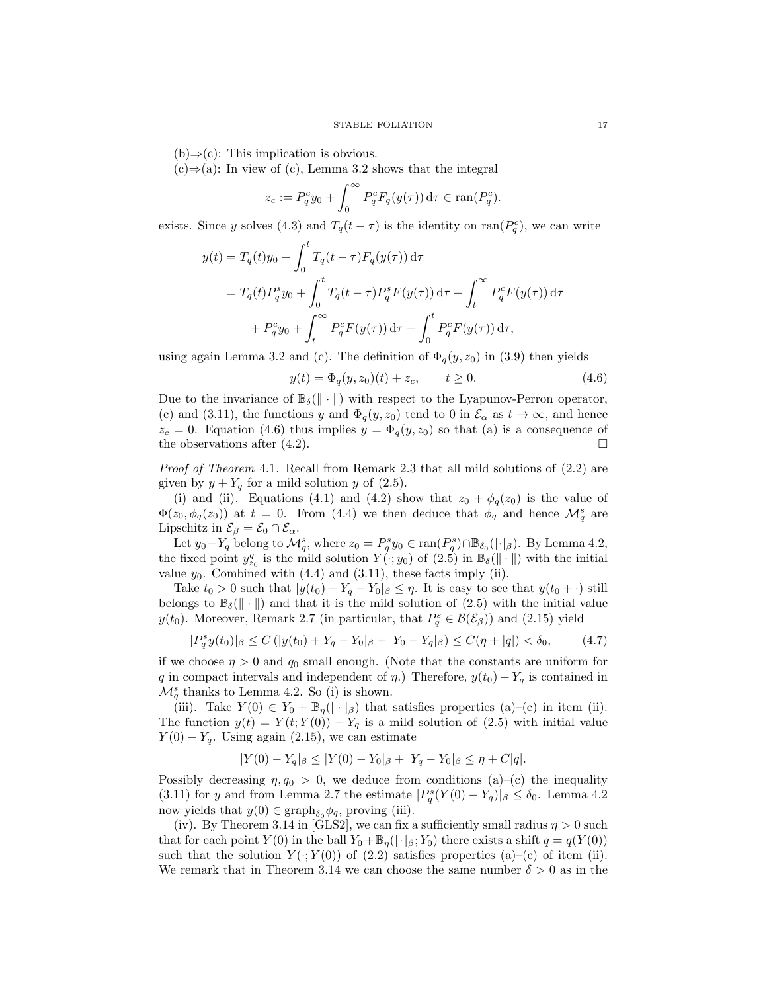$(b) \Rightarrow (c)$ : This implication is obvious.

 $(c) \Rightarrow (a)$ : In view of (c), Lemma 3.2 shows that the integral

$$
z_c := P_q^c y_0 + \int_0^\infty P_q^c F_q(y(\tau)) d\tau \in \text{ran}(P_q^c).
$$

exists. Since y solves (4.3) and  $T_q(t-\tau)$  is the identity on ran( $P_q^c$ ), we can write

$$
y(t) = T_q(t)y_0 + \int_0^t T_q(t-\tau)F_q(y(\tau)) d\tau
$$
  
=  $T_q(t)P_q^s y_0 + \int_0^t T_q(t-\tau)P_q^s F(y(\tau)) d\tau - \int_t^\infty P_q^c F(y(\tau)) d\tau$   
+  $P_q^c y_0 + \int_t^\infty P_q^c F(y(\tau)) d\tau + \int_0^t P_q^c F(y(\tau)) d\tau$ ,

using again Lemma 3.2 and (c). The definition of  $\Phi_q(y, z_0)$  in (3.9) then yields

$$
y(t) = \Phi_q(y, z_0)(t) + z_c, \qquad t \ge 0.
$$
 (4.6)

Due to the invariance of  $\mathbb{B}_{\delta}(\|\cdot\|)$  with respect to the Lyapunov-Perron operator, (c) and (3.11), the functions y and  $\Phi_q(y, z_0)$  tend to 0 in  $\mathcal{E}_\alpha$  as  $t \to \infty$ , and hence  $z_c = 0$ . Equation (4.6) thus implies  $y = \Phi_q(y, z_0)$  so that (a) is a consequence of the observations after  $(4.2)$ .

Proof of Theorem 4.1. Recall from Remark 2.3 that all mild solutions of (2.2) are given by  $y + Y_q$  for a mild solution y of (2.5).

(i) and (ii). Equations (4.1) and (4.2) show that  $z_0 + \phi_q(z_0)$  is the value of  $\Phi(z_0, \phi_q(z_0))$  at  $t = 0$ . From (4.4) we then deduce that  $\phi_q$  and hence  $\mathcal{M}_q^s$  are Lipschitz in  $\mathcal{E}_{\beta} = \mathcal{E}_0 \cap \mathcal{E}_{\alpha}$ .

Let  $y_0+Y_q$  belong to  $\mathcal{M}_q^s$ , where  $z_0 = P_q^s y_0 \in \text{ran}(P_q^s) \cap \mathbb{B}_{\delta_0}(|\cdot|_\beta)$ . By Lemma 4.2, the fixed point  $y_{z_0}^q$  is the mild solution  $Y(\cdot; y_0)$  of  $(2.5)$  in  $\mathbb{B}_{\delta}(\|\cdot\|)$  with the initial value  $y_0$ . Combined with  $(4.4)$  and  $(3.11)$ , these facts imply (ii).

Take  $t_0 > 0$  such that  $|y(t_0) + Y_q - Y_0|_{\beta} \leq \eta$ . It is easy to see that  $y(t_0 + \cdot)$  still belongs to  $\mathbb{B}_{\delta}(\|\cdot\|)$  and that it is the mild solution of (2.5) with the initial value  $y(t_0)$ . Moreover, Remark 2.7 (in particular, that  $P_q^s \in \mathcal{B}(\mathcal{E}_{\beta})$ ) and (2.15) yield

$$
|P_q^s y(t_0)|_{\beta} \le C \left( |y(t_0) + Y_q - Y_0|_{\beta} + |Y_0 - Y_q|_{\beta} \right) \le C(\eta + |q|) < \delta_0, \tag{4.7}
$$

if we choose  $\eta > 0$  and  $q_0$  small enough. (Note that the constants are uniform for q in compact intervals and independent of  $\eta$ .) Therefore,  $y(t_0) + Y_q$  is contained in  $\mathcal{M}_q^s$  thanks to Lemma 4.2. So (i) is shown.

(iii). Take  $Y(0) \in Y_0 + \mathbb{B}_{\eta}(|\cdot|_{\beta})$  that satisfies properties (a)–(c) in item (ii). The function  $y(t) = Y(t; Y(0)) - Y_q$  is a mild solution of (2.5) with initial value  $Y(0) - Y_q$ . Using again (2.15), we can estimate

 $|Y(0) - Y_q|_{\beta} \leq |Y(0) - Y_0|_{\beta} + |Y_q - Y_0|_{\beta} \leq \eta + C|q|.$ 

Possibly decreasing  $\eta$ ,  $q_0 > 0$ , we deduce from conditions (a)–(c) the inequality (3.11) for y and from Lemma 2.7 the estimate  $|P_q^s(Y(0) - Y_q)|_{\beta} \le \delta_0$ . Lemma 4.2 now yields that  $y(0) \in \text{graph}_{\delta_0} \phi_q$ , proving (iii).

(iv). By Theorem 3.14 in [GLS2], we can fix a sufficiently small radius  $\eta > 0$  such that for each point  $Y(0)$  in the ball  $Y_0 + \mathbb{B}_\eta(|\cdot|_\beta; Y_0)$  there exists a shift  $q = q(Y(0))$ such that the solution  $Y(\cdot; Y(0))$  of (2.2) satisfies properties (a)–(c) of item (ii). We remark that in Theorem 3.14 we can choose the same number  $\delta > 0$  as in the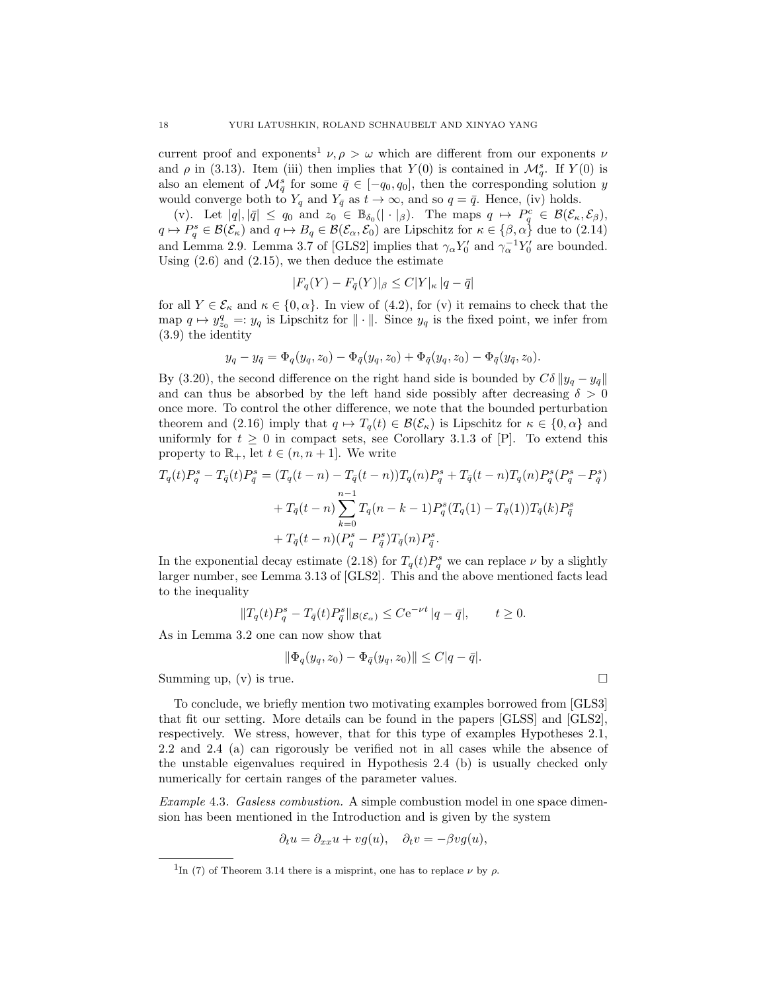current proof and exponents<sup>1</sup>  $\nu, \rho > \omega$  which are different from our exponents  $\nu$ and  $\rho$  in (3.13). Item (iii) then implies that  $Y(0)$  is contained in  $\mathcal{M}_q^s$ . If  $Y(0)$  is also an element of  $\mathcal{M}_{\bar{q}}^s$  for some  $\bar{q} \in [-q_0, q_0]$ , then the corresponding solution y would converge both to  $Y_q$  and  $Y_{\bar{q}}$  as  $t \to \infty$ , and so  $q = \bar{q}$ . Hence, (iv) holds.

(v). Let  $|q|, |\bar{q}| \leq q_0$  and  $z_0 \in \mathbb{B}_{\delta_0}(|\cdot|_\beta)$ . The maps  $q \mapsto P_q^c \in \mathcal{B}(\mathcal{E}_\kappa, \mathcal{E}_\beta)$ ,  $q \mapsto P_q^s \in \mathcal{B}(\mathcal{E}_\kappa)$  and  $q \mapsto B_q \in \mathcal{B}(\mathcal{E}_\alpha, \mathcal{E}_0)$  are Lipschitz for  $\kappa \in {\beta, \alpha}$  due to  $(2.14)$ and Lemma 2.9. Lemma 3.7 of [GLS2] implies that  $\gamma_{\alpha} Y_0'$  and  $\gamma_{\alpha}^{-1} Y_0'$  are bounded. Using  $(2.6)$  and  $(2.15)$ , we then deduce the estimate

$$
|F_q(Y) - F_{\bar{q}}(Y)|_{\beta} \le C|Y|_{\kappa} |q - \bar{q}|
$$

for all  $Y \in \mathcal{E}_{\kappa}$  and  $\kappa \in \{0, \alpha\}$ . In view of (4.2), for (v) it remains to check that the map  $q \mapsto y_{z_0}^q =: y_q$  is Lipschitz for  $\|\cdot\|$ . Since  $y_q$  is the fixed point, we infer from (3.9) the identity

$$
y_q - y_{\bar{q}} = \Phi_q(y_q, z_0) - \Phi_{\bar{q}}(y_q, z_0) + \Phi_{\bar{q}}(y_q, z_0) - \Phi_{\bar{q}}(y_{\bar{q}}, z_0).
$$

By (3.20), the second difference on the right hand side is bounded by  $C\delta ||y_q - y_{\bar{q}}||$ and can thus be absorbed by the left hand side possibly after decreasing  $\delta > 0$ once more. To control the other difference, we note that the bounded perturbation theorem and (2.16) imply that  $q \mapsto T_q(t) \in \mathcal{B}(\mathcal{E}_\kappa)$  is Lipschitz for  $\kappa \in \{0, \alpha\}$  and uniformly for  $t \geq 0$  in compact sets, see Corollary 3.1.3 of [P]. To extend this property to  $\mathbb{R}_+$ , let  $t \in (n, n+1]$ . We write

$$
T_q(t)P_q^s - T_{\bar{q}}(t)P_{\bar{q}}^s = (T_q(t - n) - T_{\bar{q}}(t - n))T_q(n)P_q^s + T_{\bar{q}}(t - n)T_q(n)P_q^s(P_q^s - P_{\bar{q}}^s)
$$
  
+ 
$$
T_{\bar{q}}(t - n)\sum_{k=0}^{n-1} T_q(n - k - 1)P_q^s(T_q(1) - T_{\bar{q}}(1))T_{\bar{q}}(k)P_{\bar{q}}^s
$$
  
+ 
$$
T_{\bar{q}}(t - n)(P_q^s - P_{\bar{q}}^s)T_{\bar{q}}(n)P_{\bar{q}}^s.
$$

In the exponential decay estimate (2.18) for  $T_q(t)P_q^s$  we can replace  $\nu$  by a slightly larger number, see Lemma 3.13 of [GLS2]. This and the above mentioned facts lead to the inequality

$$
||T_q(t)P_q^s - T_{\bar{q}}(t)P_{\bar{q}}^s||_{\mathcal{B}(\mathcal{E}_\alpha)} \leq C e^{-\nu t} |q - \bar{q}|, \qquad t \geq 0.
$$

As in Lemma 3.2 one can now show that

$$
\|\Phi_q(y_q, z_0) - \Phi_{\bar{q}}(y_q, z_0)\| \le C|q - \bar{q}|.
$$

Summing up, (v) is true.

To conclude, we briefly mention two motivating examples borrowed from [GLS3] that fit our setting. More details can be found in the papers [GLSS] and [GLS2], respectively. We stress, however, that for this type of examples Hypotheses 2.1, 2.2 and 2.4 (a) can rigorously be verified not in all cases while the absence of the unstable eigenvalues required in Hypothesis 2.4 (b) is usually checked only numerically for certain ranges of the parameter values.

Example 4.3. Gasless combustion. A simple combustion model in one space dimension has been mentioned in the Introduction and is given by the system

$$
\partial_t u = \partial_{xx} u + v g(u), \quad \partial_t v = -\beta v g(u),
$$

$$
\qquad \qquad \Box
$$

<sup>&</sup>lt;sup>1</sup>In (7) of Theorem 3.14 there is a misprint, one has to replace  $\nu$  by  $\rho$ .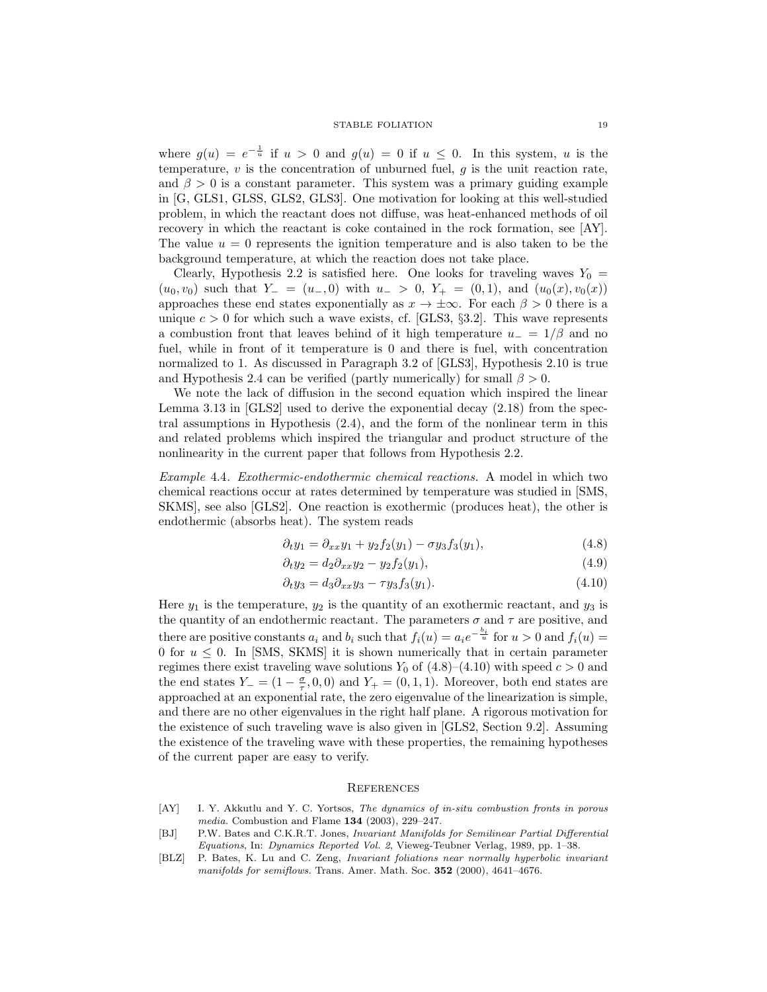where  $g(u) = e^{-\frac{1}{u}}$  if  $u > 0$  and  $g(u) = 0$  if  $u \leq 0$ . In this system, u is the temperature,  $v$  is the concentration of unburned fuel,  $g$  is the unit reaction rate, and  $\beta > 0$  is a constant parameter. This system was a primary guiding example in [G, GLS1, GLSS, GLS2, GLS3]. One motivation for looking at this well-studied problem, in which the reactant does not diffuse, was heat-enhanced methods of oil recovery in which the reactant is coke contained in the rock formation, see [AY]. The value  $u = 0$  represents the ignition temperature and is also taken to be the background temperature, at which the reaction does not take place.

Clearly, Hypothesis 2.2 is satisfied here. One looks for traveling waves  $Y_0 =$  $(u_0, v_0)$  such that  $Y_ - = (u_-, 0)$  with  $u_- > 0$ ,  $Y_ + = (0, 1)$ , and  $(u_0(x), v_0(x))$ approaches these end states exponentially as  $x \to \pm \infty$ . For each  $\beta > 0$  there is a unique  $c > 0$  for which such a wave exists, cf. [GLS3, §3.2]. This wave represents a combustion front that leaves behind of it high temperature  $u_-=1/\beta$  and no fuel, while in front of it temperature is 0 and there is fuel, with concentration normalized to 1. As discussed in Paragraph 3.2 of [GLS3], Hypothesis 2.10 is true and Hypothesis 2.4 can be verified (partly numerically) for small  $\beta > 0$ .

We note the lack of diffusion in the second equation which inspired the linear Lemma 3.13 in [GLS2] used to derive the exponential decay (2.18) from the spectral assumptions in Hypothesis (2.4), and the form of the nonlinear term in this and related problems which inspired the triangular and product structure of the nonlinearity in the current paper that follows from Hypothesis 2.2.

Example 4.4. Exothermic-endothermic chemical reactions. A model in which two chemical reactions occur at rates determined by temperature was studied in [SMS, SKMS], see also [GLS2]. One reaction is exothermic (produces heat), the other is endothermic (absorbs heat). The system reads

$$
\partial_t y_1 = \partial_{xx} y_1 + y_2 f_2(y_1) - \sigma y_3 f_3(y_1), \tag{4.8}
$$

$$
\partial_t y_2 = d_2 \partial_{xx} y_2 - y_2 f_2(y_1),\tag{4.9}
$$

$$
\partial_t y_3 = d_3 \partial_{xx} y_3 - \tau y_3 f_3(y_1). \tag{4.10}
$$

Here  $y_1$  is the temperature,  $y_2$  is the quantity of an exothermic reactant, and  $y_3$  is the quantity of an endothermic reactant. The parameters  $\sigma$  and  $\tau$  are positive, and there are positive constants  $a_i$  and  $b_i$  such that  $f_i(u) = a_i e^{-\frac{b_i}{u}}$  for  $u > 0$  and  $f_i(u) =$ 0 for  $u \leq 0$ . In [SMS, SKMS] it is shown numerically that in certain parameter regimes there exist traveling wave solutions  $Y_0$  of  $(4.8)$ – $(4.10)$  with speed  $c > 0$  and the end states  $Y_ - = (1 - \frac{\sigma}{\tau}, 0, 0)$  and  $Y_ + = (0, 1, 1)$ . Moreover, both end states are approached at an exponential rate, the zero eigenvalue of the linearization is simple, and there are no other eigenvalues in the right half plane. A rigorous motivation for the existence of such traveling wave is also given in [GLS2, Section 9.2]. Assuming the existence of the traveling wave with these properties, the remaining hypotheses of the current paper are easy to verify.

## **REFERENCES**

- [AY] I. Y. Akkutlu and Y. C. Yortsos, The dynamics of in-situ combustion fronts in porous media. Combustion and Flame 134 (2003), 229–247.
- [BJ] P.W. Bates and C.K.R.T. Jones, Invariant Manifolds for Semilinear Partial Differential Equations, In: Dynamics Reported Vol. 2, Vieweg-Teubner Verlag, 1989, pp. 1–38.
- [BLZ] P. Bates, K. Lu and C. Zeng, Invariant foliations near normally hyperbolic invariant manifolds for semiflows. Trans. Amer. Math. Soc. 352 (2000), 4641-4676.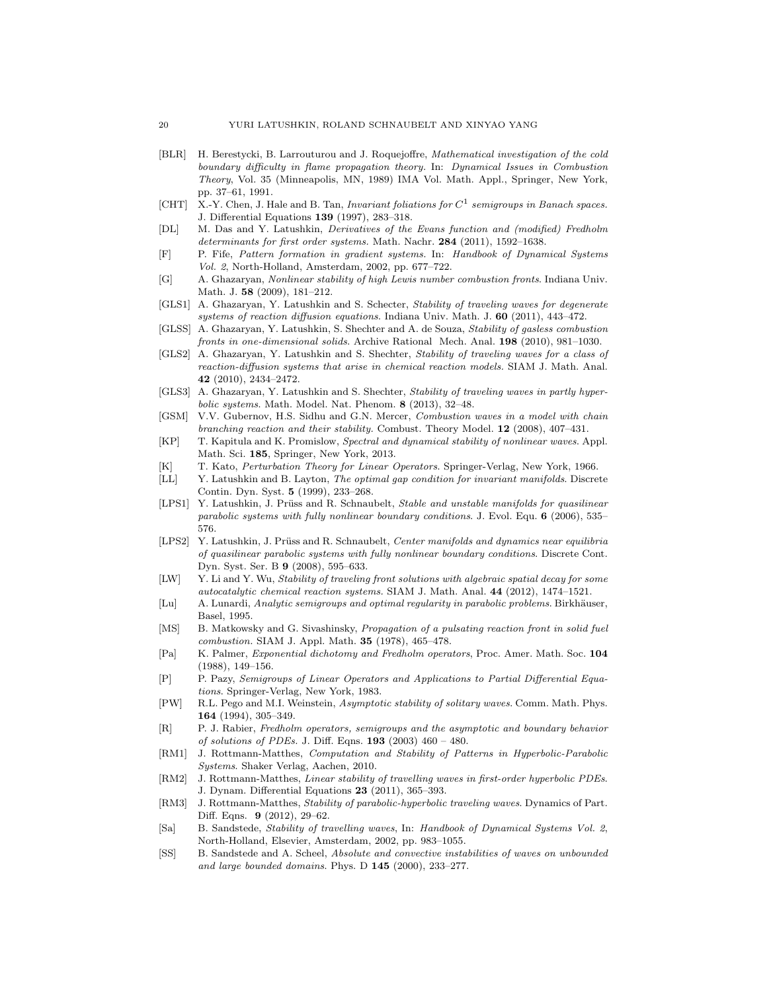- [BLR] H. Berestycki, B. Larrouturou and J. Roquejoffre, Mathematical investigation of the cold boundary difficulty in flame propagation theory. In: Dynamical Issues in Combustion Theory, Vol. 35 (Minneapolis, MN, 1989) IMA Vol. Math. Appl., Springer, New York, pp. 37–61, 1991.
- [CHT] X.-Y. Chen, J. Hale and B. Tan, Invariant foliations for  $C<sup>1</sup>$  semigroups in Banach spaces. J. Differential Equations 139 (1997), 283–318.
- [DL] M. Das and Y. Latushkin, Derivatives of the Evans function and (modified) Fredholm determinants for first order systems. Math. Nachr. 284 (2011), 1592–1638.
- [F] P. Fife, Pattern formation in gradient systems. In: Handbook of Dynamical Systems Vol. 2, North-Holland, Amsterdam, 2002, pp. 677–722.
- [G] A. Ghazaryan, Nonlinear stability of high Lewis number combustion fronts. Indiana Univ. Math. J. 58 (2009), 181–212.
- [GLS1] A. Ghazaryan, Y. Latushkin and S. Schecter, Stability of traveling waves for degenerate systems of reaction diffusion equations. Indiana Univ. Math. J. 60 (2011), 443–472.
- [GLSS] A. Ghazaryan, Y. Latushkin, S. Shechter and A. de Souza, Stability of gasless combustion fronts in one-dimensional solids. Archive Rational Mech. Anal. 198 (2010), 981–1030.
- [GLS2] A. Ghazaryan, Y. Latushkin and S. Shechter, Stability of traveling waves for a class of reaction-diffusion systems that arise in chemical reaction models. SIAM J. Math. Anal. 42 (2010), 2434–2472.
- [GLS3] A. Ghazaryan, Y. Latushkin and S. Shechter, Stability of traveling waves in partly hyperbolic systems. Math. Model. Nat. Phenom. 8 (2013), 32–48.
- [GSM] V.V. Gubernov, H.S. Sidhu and G.N. Mercer, Combustion waves in a model with chain branching reaction and their stability. Combust. Theory Model. 12 (2008), 407–431.
- [KP] T. Kapitula and K. Promislow, Spectral and dynamical stability of nonlinear waves. Appl. Math. Sci. 185, Springer, New York, 2013.
- [K] T. Kato, Perturbation Theory for Linear Operators. Springer-Verlag, New York, 1966.
- [LL] Y. Latushkin and B. Layton, The optimal gap condition for invariant manifolds. Discrete Contin. Dyn. Syst. 5 (1999), 233–268.
- [LPS1] Y. Latushkin, J. Prüss and R. Schnaubelt, Stable and unstable manifolds for quasilinear parabolic systems with fully nonlinear boundary conditions. J. Evol. Equ. 6 (2006), 535– 576.
- [LPS2] Y. Latushkin, J. Prüss and R. Schnaubelt, Center manifolds and dynamics near equilibria of quasilinear parabolic systems with fully nonlinear boundary conditions. Discrete Cont. Dyn. Syst. Ser. B 9 (2008), 595–633.
- [LW] Y. Li and Y. Wu, Stability of traveling front solutions with algebraic spatial decay for some autocatalytic chemical reaction systems. SIAM J. Math. Anal. 44 (2012), 1474–1521.
- [Lu] A. Lunardi, Analytic semigroups and optimal regularity in parabolic problems. Birkhäuser, Basel, 1995.
- [MS] B. Matkowsky and G. Sivashinsky, *Propagation of a pulsating reaction front in solid fuel* combustion. SIAM J. Appl. Math. 35 (1978), 465–478.
- [Pa] K. Palmer, Exponential dichotomy and Fredholm operators, Proc. Amer. Math. Soc. 104 (1988), 149–156.
- [P] P. Pazy, Semigroups of Linear Operators and Applications to Partial Differential Equations. Springer-Verlag, New York, 1983.
- [PW] R.L. Pego and M.I. Weinstein, Asymptotic stability of solitary waves. Comm. Math. Phys. 164 (1994), 305–349.
- [R] P. J. Rabier, Fredholm operators, semigroups and the asymptotic and boundary behavior of solutions of PDEs. J. Diff. Eqns.  $193$  (2003)  $460 - 480$ .
- [RM1] J. Rottmann-Matthes, Computation and Stability of Patterns in Hyperbolic-Parabolic Systems. Shaker Verlag, Aachen, 2010.
- [RM2] J. Rottmann-Matthes, Linear stability of travelling waves in first-order hyperbolic PDEs. J. Dynam. Differential Equations 23 (2011), 365–393.
- [RM3] J. Rottmann-Matthes, Stability of parabolic-hyperbolic traveling waves. Dynamics of Part. Diff. Eqns. 9 (2012), 29–62.
- [Sa] B. Sandstede, Stability of travelling waves, In: Handbook of Dynamical Systems Vol. 2, North-Holland, Elsevier, Amsterdam, 2002, pp. 983–1055.
- [SS] B. Sandstede and A. Scheel, Absolute and convective instabilities of waves on unbounded and large bounded domains. Phys. D 145 (2000), 233–277.